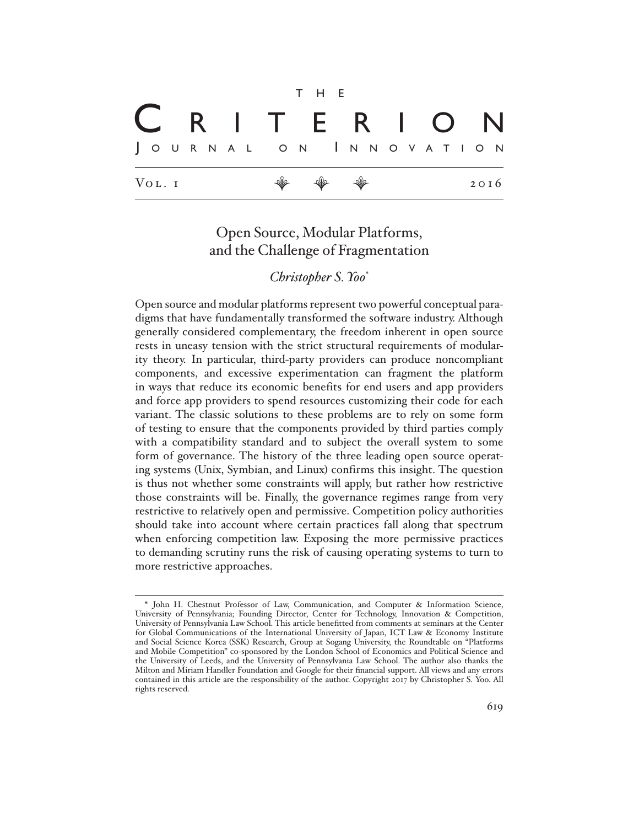|        |  |  |  |  |  |                       | T H E |                                                                      |  |  |  |  |  |                   |  |      |  |
|--------|--|--|--|--|--|-----------------------|-------|----------------------------------------------------------------------|--|--|--|--|--|-------------------|--|------|--|
|        |  |  |  |  |  |                       |       |                                                                      |  |  |  |  |  | C R I T E R I O N |  |      |  |
|        |  |  |  |  |  | JOURNAL ON INNOVATION |       |                                                                      |  |  |  |  |  |                   |  |      |  |
| VOL. I |  |  |  |  |  |                       |       | $\begin{array}{ccccccccccccc} \psi & \psi & \psi & \psi \end{array}$ |  |  |  |  |  |                   |  | 2016 |  |

# Open Source, Modular Platforms, and the Challenge of Fragmentation

## *Christopher S. Yoo*\*

Open source and modular platforms represent two powerful conceptual paradigms that have fundamentally transformed the software industry. Although generally considered complementary, the freedom inherent in open source rests in uneasy tension with the strict structural requirements of modularity theory. In particular, third-party providers can produce noncompliant components, and excessive experimentation can fragment the platform in ways that reduce its economic benefits for end users and app providers and force app providers to spend resources customizing their code for each variant. The classic solutions to these problems are to rely on some form of testing to ensure that the components provided by third parties comply with a compatibility standard and to subject the overall system to some form of governance. The history of the three leading open source operating systems (Unix, Symbian, and Linux) confirms this insight. The question is thus not whether some constraints will apply, but rather how restrictive those constraints will be. Finally, the governance regimes range from very restrictive to relatively open and permissive. Competition policy authorities should take into account where certain practices fall along that spectrum when enforcing competition law. Exposing the more permissive practices to demanding scrutiny runs the risk of causing operating systems to turn to more restrictive approaches.

<sup>\*</sup> John H. Chestnut Professor of Law, Communication, and Computer & Information Science, University of Pennsylvania; Founding Director, Center for Technology, Innovation & Competition, University of Pennsylvania Law School. This article benefitted from comments at seminars at the Center for Global Communications of the International University of Japan, ICT Law & Economy Institute and Social Science Korea (SSK) Research, Group at Sogang University, the Roundtable on "Platforms and Mobile Competition" co-sponsored by the London School of Economics and Political Science and the University of Leeds, and the University of Pennsylvania Law School. The author also thanks the Milton and Miriam Handler Foundation and Google for their financial support. All views and any errors contained in this article are the responsibility of the author. Copyright 2017 by Christopher S. Yoo. All rights reserved.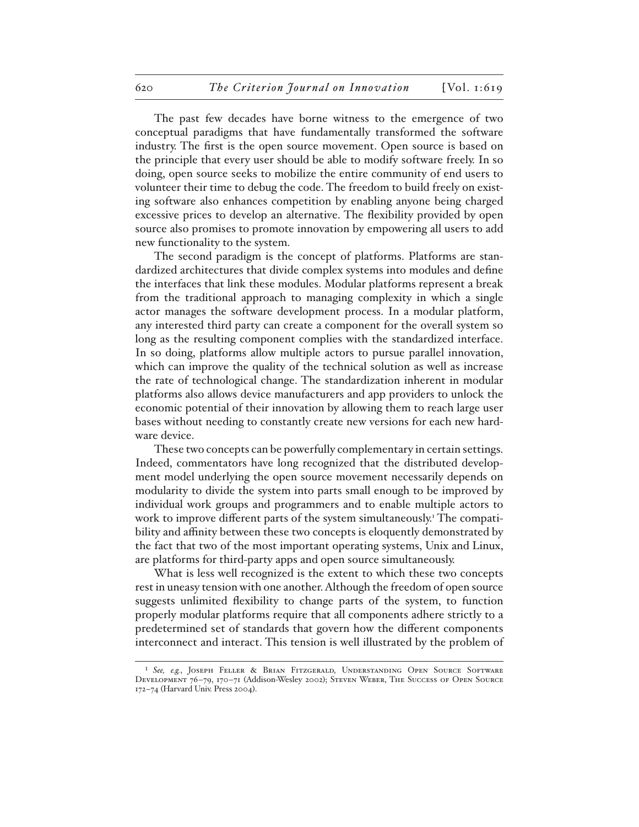The past few decades have borne witness to the emergence of two conceptual paradigms that have fundamentally transformed the software industry. The first is the open source movement. Open source is based on the principle that every user should be able to modify software freely. In so doing, open source seeks to mobilize the entire community of end users to volunteer their time to debug the code. The freedom to build freely on existing software also enhances competition by enabling anyone being charged excessive prices to develop an alternative. The flexibility provided by open source also promises to promote innovation by empowering all users to add new functionality to the system.

The second paradigm is the concept of platforms. Platforms are standardized architectures that divide complex systems into modules and define the interfaces that link these modules. Modular platforms represent a break from the traditional approach to managing complexity in which a single actor manages the software development process. In a modular platform, any interested third party can create a component for the overall system so long as the resulting component complies with the standardized interface. In so doing, platforms allow multiple actors to pursue parallel innovation, which can improve the quality of the technical solution as well as increase the rate of technological change. The standardization inherent in modular platforms also allows device manufacturers and app providers to unlock the economic potential of their innovation by allowing them to reach large user bases without needing to constantly create new versions for each new hardware device.

These two concepts can be powerfully complementary in certain settings. Indeed, commentators have long recognized that the distributed development model underlying the open source movement necessarily depends on modularity to divide the system into parts small enough to be improved by individual work groups and programmers and to enable multiple actors to work to improve different parts of the system simultaneously.<sup>1</sup> The compatibility and affinity between these two concepts is eloquently demonstrated by the fact that two of the most important operating systems, Unix and Linux, are platforms for third-party apps and open source simultaneously.

What is less well recognized is the extent to which these two concepts rest in uneasy tension with one another. Although the freedom of open source suggests unlimited flexibility to change parts of the system, to function properly modular platforms require that all components adhere strictly to a predetermined set of standards that govern how the different components interconnect and interact. This tension is well illustrated by the problem of

<sup>1</sup> *See, e.g.*, Joseph Feller & Brian Fitzgerald, Understanding Open Source Software Development 76–79, 170–71 (Addison-Wesley 2002); Steven Weber, The Success of Open Source 172–74 (Harvard Univ. Press 2004).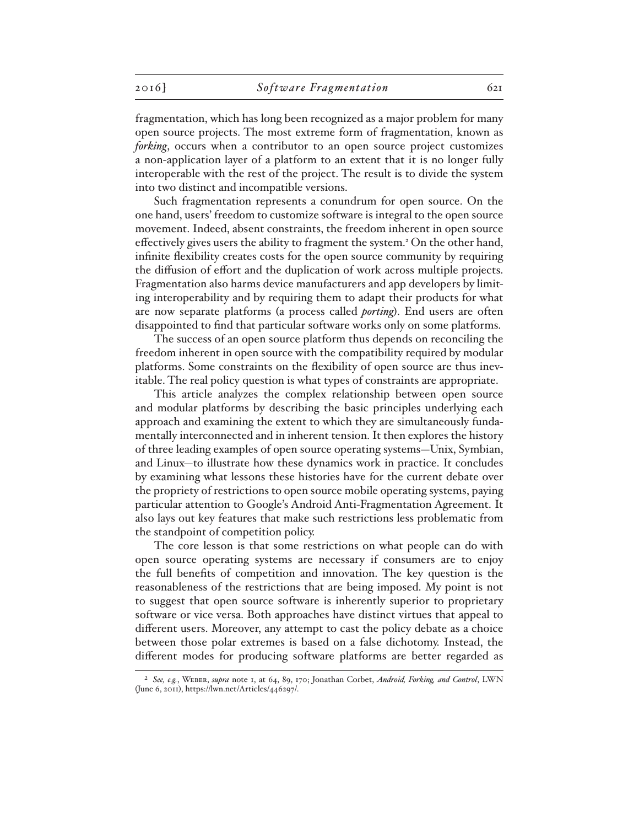fragmentation, which has long been recognized as a major problem for many open source projects. The most extreme form of fragmentation, known as *forking*, occurs when a contributor to an open source project customizes a non-application layer of a platform to an extent that it is no longer fully interoperable with the rest of the project. The result is to divide the system into two distinct and incompatible versions.

Such fragmentation represents a conundrum for open source. On the one hand, users' freedom to customize software is integral to the open source movement. Indeed, absent constraints, the freedom inherent in open source effectively gives users the ability to fragment the system.<sup>2</sup> On the other hand, infinite flexibility creates costs for the open source community by requiring the diffusion of effort and the duplication of work across multiple projects. Fragmentation also harms device manufacturers and app developers by limiting interoperability and by requiring them to adapt their products for what are now separate platforms (a process called *porting*). End users are often disappointed to find that particular software works only on some platforms.

The success of an open source platform thus depends on reconciling the freedom inherent in open source with the compatibility required by modular platforms. Some constraints on the flexibility of open source are thus inevitable. The real policy question is what types of constraints are appropriate.

This article analyzes the complex relationship between open source and modular platforms by describing the basic principles underlying each approach and examining the extent to which they are simultaneously fundamentally interconnected and in inherent tension. It then explores the history of three leading examples of open source operating systems—Unix, Symbian, and Linux—to illustrate how these dynamics work in practice. It concludes by examining what lessons these histories have for the current debate over the propriety of restrictions to open source mobile operating systems, paying particular attention to Google's Android Anti-Fragmentation Agreement. It also lays out key features that make such restrictions less problematic from the standpoint of competition policy.

The core lesson is that some restrictions on what people can do with open source operating systems are necessary if consumers are to enjoy the full benefits of competition and innovation. The key question is the reasonableness of the restrictions that are being imposed. My point is not to suggest that open source software is inherently superior to proprietary software or vice versa. Both approaches have distinct virtues that appeal to different users. Moreover, any attempt to cast the policy debate as a choice between those polar extremes is based on a false dichotomy. Instead, the different modes for producing software platforms are better regarded as

<sup>2</sup> *See, e.g.*, Weber, *supra* note 1, at 64, 89, 170; Jonathan Corbet, *Android, Forking, and Control*, LWN (June 6, 2011), https://lwn.net/Articles/446297/.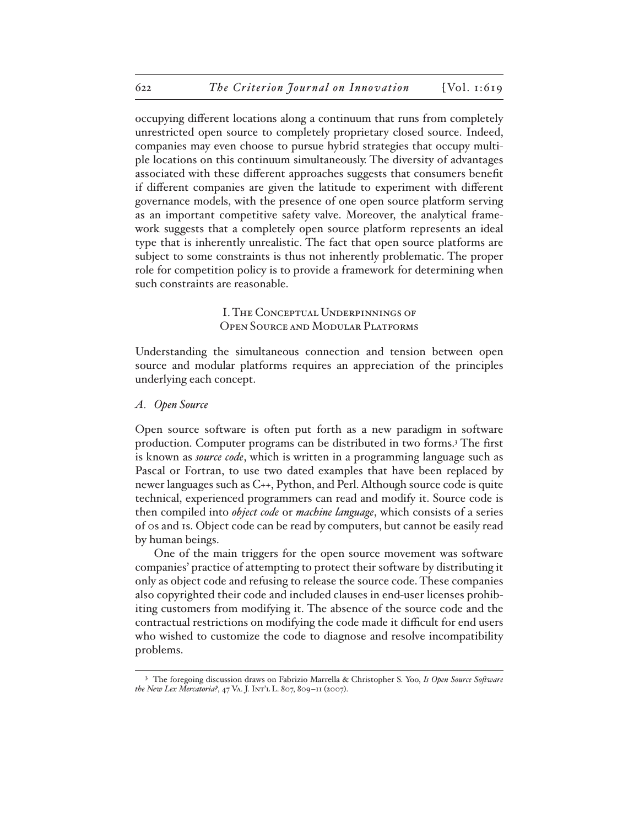occupying different locations along a continuum that runs from completely unrestricted open source to completely proprietary closed source. Indeed, companies may even choose to pursue hybrid strategies that occupy multiple locations on this continuum simultaneously. The diversity of advantages associated with these different approaches suggests that consumers benefit if different companies are given the latitude to experiment with different governance models, with the presence of one open source platform serving as an important competitive safety valve. Moreover, the analytical framework suggests that a completely open source platform represents an ideal type that is inherently unrealistic. The fact that open source platforms are subject to some constraints is thus not inherently problematic. The proper role for competition policy is to provide a framework for determining when such constraints are reasonable.

> I. The Conceptual Underpinnings of Open Source and Modular Platforms

Understanding the simultaneous connection and tension between open source and modular platforms requires an appreciation of the principles underlying each concept.

## *A. Open Source*

Open source software is often put forth as a new paradigm in software production. Computer programs can be distributed in two forms.<sup>3</sup> The first is known as *source code*, which is written in a programming language such as Pascal or Fortran, to use two dated examples that have been replaced by newer languages such as C++, Python, and Perl. Although source code is quite technical, experienced programmers can read and modify it. Source code is then compiled into *object code* or *machine language*, which consists of a series of 0s and 1s. Object code can be read by computers, but cannot be easily read by human beings.

One of the main triggers for the open source movement was software companies' practice of attempting to protect their software by distributing it only as object code and refusing to release the source code. These companies also copyrighted their code and included clauses in end-user licenses prohibiting customers from modifying it. The absence of the source code and the contractual restrictions on modifying the code made it difficult for end users who wished to customize the code to diagnose and resolve incompatibility problems.

<sup>3</sup> The foregoing discussion draws on Fabrizio Marrella & Christopher S. Yoo, *Is Open Source Software the New Lex Mercatoria?*, 47 Va. J. Int'l L. 807, 809–11 (2007).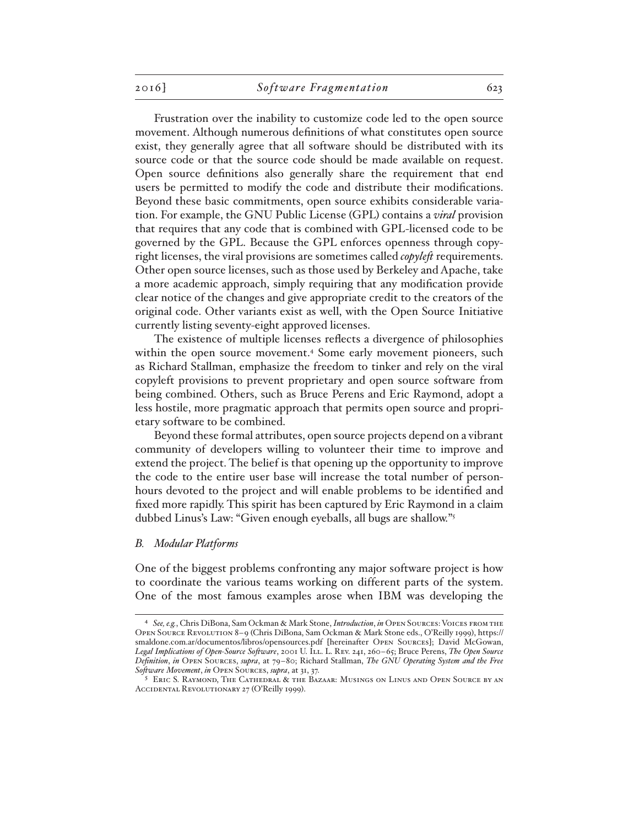Frustration over the inability to customize code led to the open source movement. Although numerous definitions of what constitutes open source exist, they generally agree that all software should be distributed with its source code or that the source code should be made available on request. Open source definitions also generally share the requirement that end users be permitted to modify the code and distribute their modifications. Beyond these basic commitments, open source exhibits considerable variation. For example, the GNU Public License (GPL) contains a *viral* provision that requires that any code that is combined with GPL-licensed code to be governed by the GPL. Because the GPL enforces openness through copyright licenses, the viral provisions are sometimes called *copyleft* requirements. Other open source licenses, such as those used by Berkeley and Apache, take a more academic approach, simply requiring that any modification provide clear notice of the changes and give appropriate credit to the creators of the original code. Other variants exist as well, with the Open Source Initiative currently listing seventy-eight approved licenses.

The existence of multiple licenses reflects a divergence of philosophies within the open source movement.<sup>4</sup> Some early movement pioneers, such as Richard Stallman, emphasize the freedom to tinker and rely on the viral copyleft provisions to prevent proprietary and open source software from being combined. Others, such as Bruce Perens and Eric Raymond, adopt a less hostile, more pragmatic approach that permits open source and proprietary software to be combined.

Beyond these formal attributes, open source projects depend on a vibrant community of developers willing to volunteer their time to improve and extend the project. The belief is that opening up the opportunity to improve the code to the entire user base will increase the total number of personhours devoted to the project and will enable problems to be identified and fixed more rapidly. This spirit has been captured by Eric Raymond in a claim dubbed Linus's Law: "Given enough eyeballs, all bugs are shallow."5

#### *B. Modular Platforms*

One of the biggest problems confronting any major software project is how to coordinate the various teams working on different parts of the system. One of the most famous examples arose when IBM was developing the

<sup>4</sup> *See, e.g.*, Chris DiBona, Sam Ockman & Mark Stone, *Introduction*, *in* Open Sources: Voices from the Open Source Revolution 8–9 (Chris DiBona, Sam Ockman & Mark Stone eds., O'Reilly 1999), https:// smaldone.com.ar/documentos/libros/opensources.pdf [hereinafter Open Sources]; David McGowan, Legal Implications of Open-Source Software, 2001 U. ILL. L. Rev. 241, 260-65; Bruce Perens, *The Open Source Definition*, *in* Open Sources, *supra*, at 79–80; Richard Stallman, *The GNU Operating System and the Free Software Movement*, *in* Open Sources, *supra*, at 31, 37.

<sup>5</sup> Eric S. Raymond, The Cathedral & the Bazaar: Musings on Linus and Open Source by an Accidental Revolutionary 27 (O'Reilly 1999).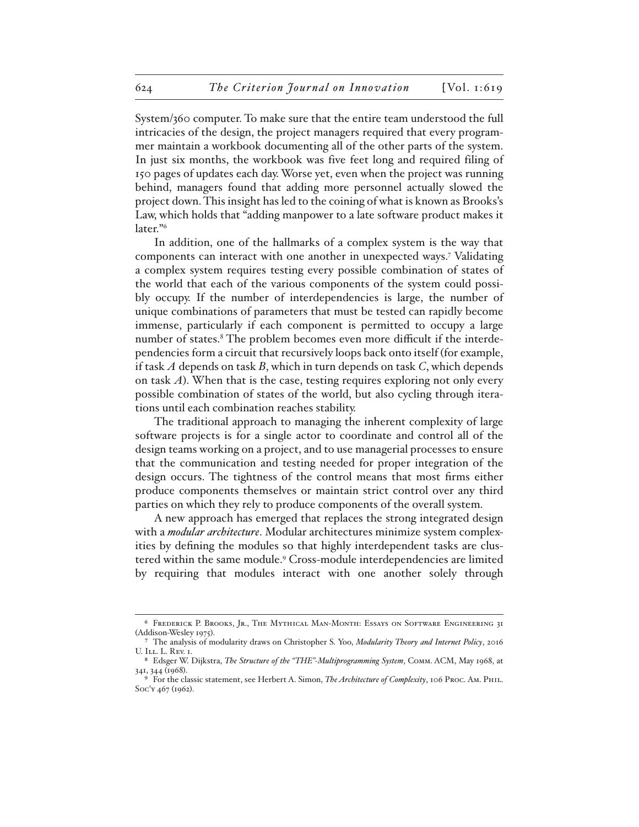System/360 computer. To make sure that the entire team understood the full intricacies of the design, the project managers required that every programmer maintain a workbook documenting all of the other parts of the system. In just six months, the workbook was five feet long and required filing of 150 pages of updates each day. Worse yet, even when the project was running behind, managers found that adding more personnel actually slowed the project down. This insight has led to the coining of what is known as Brooks's Law, which holds that "adding manpower to a late software product makes it later."6

In addition, one of the hallmarks of a complex system is the way that components can interact with one another in unexpected ways.7 Validating a complex system requires testing every possible combination of states of the world that each of the various components of the system could possibly occupy. If the number of interdependencies is large, the number of unique combinations of parameters that must be tested can rapidly become immense, particularly if each component is permitted to occupy a large number of states.<sup>8</sup> The problem becomes even more difficult if the interdependencies form a circuit that recursively loops back onto itself (for example, if task *A* depends on task *B*, which in turn depends on task *C*, which depends on task *A*). When that is the case, testing requires exploring not only every possible combination of states of the world, but also cycling through iterations until each combination reaches stability.

The traditional approach to managing the inherent complexity of large software projects is for a single actor to coordinate and control all of the design teams working on a project, and to use managerial processes to ensure that the communication and testing needed for proper integration of the design occurs. The tightness of the control means that most firms either produce components themselves or maintain strict control over any third parties on which they rely to produce components of the overall system.

A new approach has emerged that replaces the strong integrated design with a *modular architecture*. Modular architectures minimize system complexities by defining the modules so that highly interdependent tasks are clustered within the same module.9 Cross-module interdependencies are limited by requiring that modules interact with one another solely through

<sup>6</sup> Frederick P. Brooks, Jr., The Mythical Man-Month: Essays on Software Engineering 31 (Addison-Wesley 1975).

<sup>7</sup> The analysis of modularity draws on Christopher S. Yoo, *Modularity Theory and Internet Policy*, 2016 U. Ill. L. Rev. I.

<sup>8</sup> Edsger W. Dijkstra, *The Structure of the "THE"-Multiprogramming System*, Comm. ACM, May 1968, at 341, 344 (1968).

<sup>9</sup> For the classic statement, see Herbert A. Simon, *The Architecture of Complexity*, 106 Proc. Am. Phil. Soc'y 467 (1962).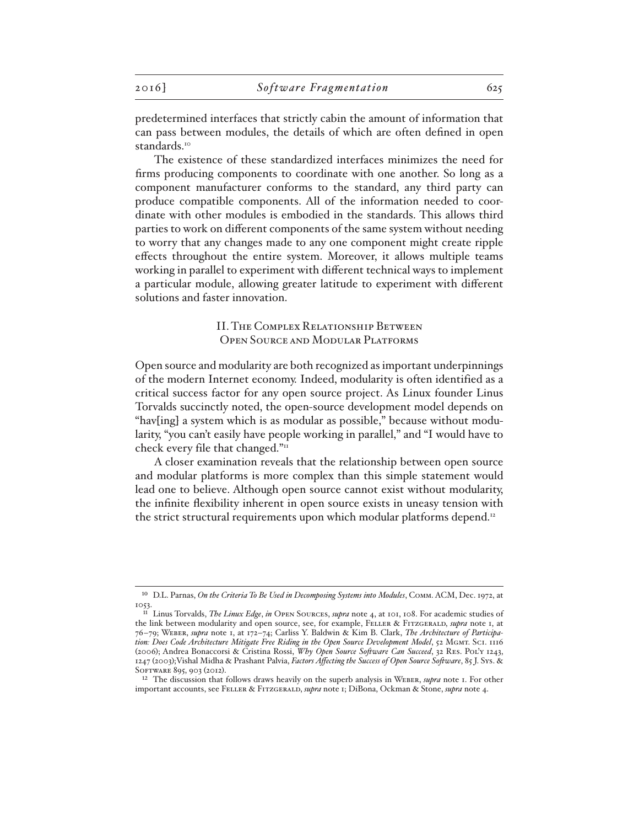predetermined interfaces that strictly cabin the amount of information that can pass between modules, the details of which are often defined in open standards.<sup>10</sup>

The existence of these standardized interfaces minimizes the need for firms producing components to coordinate with one another. So long as a component manufacturer conforms to the standard, any third party can produce compatible components. All of the information needed to coordinate with other modules is embodied in the standards. This allows third parties to work on different components of the same system without needing to worry that any changes made to any one component might create ripple effects throughout the entire system. Moreover, it allows multiple teams working in parallel to experiment with different technical ways to implement a particular module, allowing greater latitude to experiment with different solutions and faster innovation.

## II. The Complex Relationship Between Open Source and Modular Platforms

Open source and modularity are both recognized as important underpinnings of the modern Internet economy. Indeed, modularity is often identified as a critical success factor for any open source project. As Linux founder Linus Torvalds succinctly noted, the open-source development model depends on "hav[ing] a system which is as modular as possible," because without modularity, "you can't easily have people working in parallel," and "I would have to check every file that changed."

A closer examination reveals that the relationship between open source and modular platforms is more complex than this simple statement would lead one to believe. Although open source cannot exist without modularity, the infinite flexibility inherent in open source exists in uneasy tension with the strict structural requirements upon which modular platforms depend.<sup>12</sup>

<sup>10</sup> D.L. Parnas, *On the Criteria To Be Used in Decomposing Systems into Modules*, Comm. ACM, Dec. 1972, at 1053.

<sup>11</sup> Linus Torvalds, *The Linux Edge*, *in* Open Sources, *supra* note 4, at 101, 108. For academic studies of the link between modularity and open source, see, for example, FELLER & FITZGERALD, *supra* note 1, at 76–79; Weber, *supra* note 1, at 172–74; Carliss Y. Baldwin & Kim B. Clark, *The Architecture of Participa*tion: Does Code Architecture Mitigate Free Riding in the Open Source Development Model, 52 MGMT. SCI. 1116 (2006); Andrea Bonaccorsi & Cristina Rossi, *Why Open Source Software Can Succeed*, 32 Res. Pol'y 1243, 1247 (2003);Vishal Midha & Prashant Palvia, *Factors Affecting the Success of Open Source Software*, 85 J. Sys. & SOFTWARE 895, 903 (2012).

<sup>&</sup>lt;sup>12</sup> The discussion that follows draws heavily on the superb analysis in WEBER, *supra* note 1. For other important accounts, see Feller & Fitzgerald, *supra* note 1; DiBona, Ockman & Stone, *supra* note 4.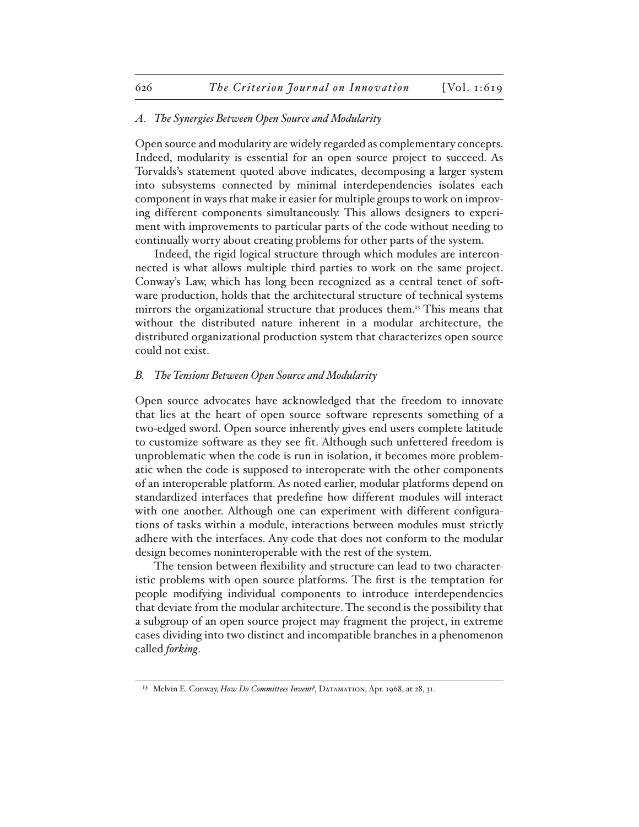## *A. The Synergies Between Open Source and Modularity*

Open source and modularity are widely regarded as complementary concepts. Indeed, modularity is essential for an open source project to succeed. As Torvalds's statement quoted above indicates, decomposing a larger system into subsystems connected by minimal interdependencies isolates each component in ways that make it easier for multiple groups to work on improving different components simultaneously. This allows designers to experiment with improvements to particular parts of the code without needing to continually worry about creating problems for other parts of the system.

Indeed, the rigid logical structure through which modules are interconnected is what allows multiple third parties to work on the same project. Conway's Law, which has long been recognized as a central tenet of software production, holds that the architectural structure of technical systems mirrors the organizational structure that produces them.13 This means that without the distributed nature inherent in a modular architecture, the distributed organizational production system that characterizes open source could not exist.

## *B. The Tensions Between Open Source and Modularity*

Open source advocates have acknowledged that the freedom to innovate that lies at the heart of open source software represents something of a two-edged sword. Open source inherently gives end users complete latitude to customize software as they see fit. Although such unfettered freedom is unproblematic when the code is run in isolation, it becomes more problematic when the code is supposed to interoperate with the other components of an interoperable platform. As noted earlier, modular platforms depend on standardized interfaces that predefine how different modules will interact with one another. Although one can experiment with different configurations of tasks within a module, interactions between modules must strictly adhere with the interfaces. Any code that does not conform to the modular design becomes noninteroperable with the rest of the system.

The tension between flexibility and structure can lead to two characteristic problems with open source platforms. The first is the temptation for people modifying individual components to introduce interdependencies that deviate from the modular architecture. The second is the possibility that a subgroup of an open source project may fragment the project, in extreme cases dividing into two distinct and incompatible branches in a phenomenon called *forking*.

<sup>&</sup>lt;sup>13</sup> Melvin E. Conway, *How Do Committees Invent?*, DATAMATION, Apr. 1968, at 28, 31.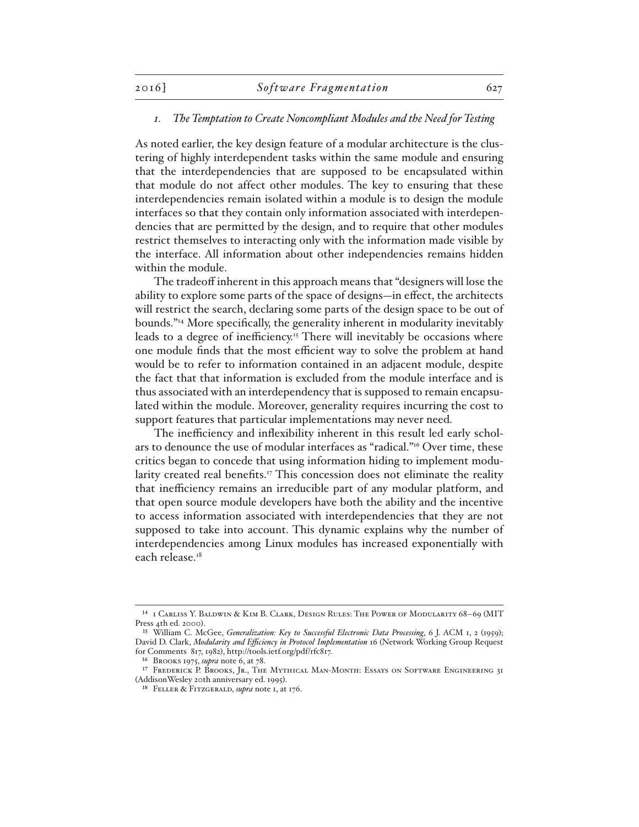## *1. The Temptation to Create Noncompliant Modules and the Need for Testing*

As noted earlier, the key design feature of a modular architecture is the clustering of highly interdependent tasks within the same module and ensuring that the interdependencies that are supposed to be encapsulated within that module do not affect other modules. The key to ensuring that these interdependencies remain isolated within a module is to design the module interfaces so that they contain only information associated with interdependencies that are permitted by the design, and to require that other modules restrict themselves to interacting only with the information made visible by the interface. All information about other independencies remains hidden within the module.

The tradeoff inherent in this approach means that "designers will lose the ability to explore some parts of the space of designs—in effect, the architects will restrict the search, declaring some parts of the design space to be out of bounds."14 More specifically, the generality inherent in modularity inevitably leads to a degree of inefficiency.<sup>15</sup> There will inevitably be occasions where one module finds that the most efficient way to solve the problem at hand would be to refer to information contained in an adjacent module, despite the fact that that information is excluded from the module interface and is thus associated with an interdependency that is supposed to remain encapsulated within the module. Moreover, generality requires incurring the cost to support features that particular implementations may never need.

The inefficiency and inflexibility inherent in this result led early scholars to denounce the use of modular interfaces as "radical."16 Over time, these critics began to concede that using information hiding to implement modularity created real benefits.<sup>17</sup> This concession does not eliminate the reality that inefficiency remains an irreducible part of any modular platform, and that open source module developers have both the ability and the incentive to access information associated with interdependencies that they are not supposed to take into account. This dynamic explains why the number of interdependencies among Linux modules has increased exponentially with each release.<sup>18</sup>

<sup>14</sup> 1 Carliss Y. Baldwin & Kim B. Clark, Design Rules: The Power of Modularity 68–69 (MIT Press 4th ed. 2000).

<sup>15</sup> William C. McGee, *Generalization: Key to Successful Electronic Data Processing*, 6 J. ACM 1, 2 (1959); David D. Clark, *Modularity and Efficiency in Protocol Implementation* 16 (Network Working Group Request for Comments 817, 1982), http://tools.ietf.org/pdf/rfc817.

<sup>16</sup> Brooks 1975, *supra* note 6, at 78.

<sup>17</sup> Frederick P. Brooks, Jr., The Mythical Man-Month: Essays on Software Engineering 31 (AddisonWesley 20th anniversary ed. 1995).

<sup>18</sup> Feller & Fitzgerald, *supra* note 1, at 176.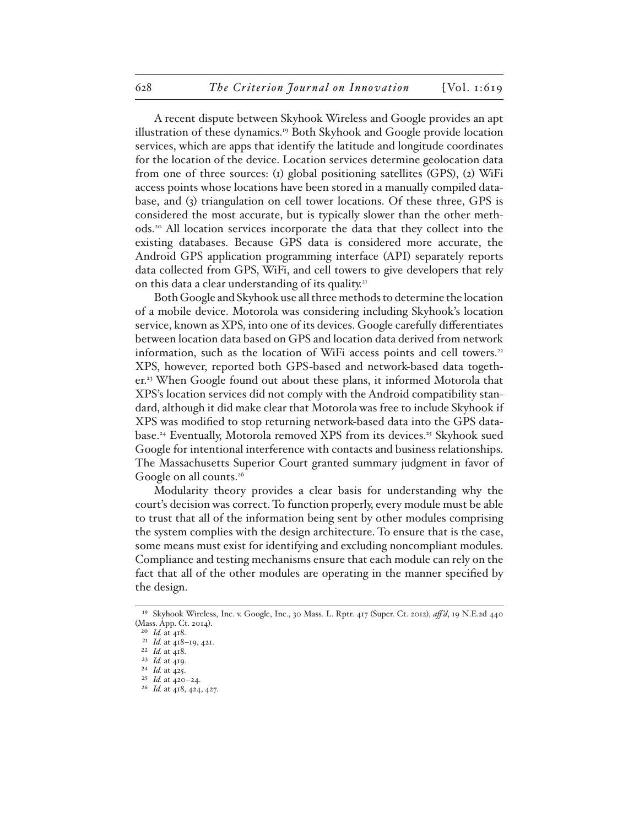A recent dispute between Skyhook Wireless and Google provides an apt illustration of these dynamics.19 Both Skyhook and Google provide location services, which are apps that identify the latitude and longitude coordinates for the location of the device. Location services determine geolocation data from one of three sources: (1) global positioning satellites (GPS), (2) WiFi access points whose locations have been stored in a manually compiled database, and (3) triangulation on cell tower locations. Of these three, GPS is considered the most accurate, but is typically slower than the other methods.20 All location services incorporate the data that they collect into the existing databases. Because GPS data is considered more accurate, the Android GPS application programming interface (API) separately reports data collected from GPS, WiFi, and cell towers to give developers that rely on this data a clear understanding of its quality.<sup>21</sup>

Both Google and Skyhook use all three methods to determine the location of a mobile device. Motorola was considering including Skyhook's location service, known as XPS, into one of its devices. Google carefully differentiates between location data based on GPS and location data derived from network information, such as the location of WiFi access points and cell towers.<sup>22</sup> XPS, however, reported both GPS-based and network-based data together.23 When Google found out about these plans, it informed Motorola that XPS's location services did not comply with the Android compatibility standard, although it did make clear that Motorola was free to include Skyhook if XPS was modified to stop returning network-based data into the GPS database.<sup>24</sup> Eventually, Motorola removed XPS from its devices.<sup>25</sup> Skyhook sued Google for intentional interference with contacts and business relationships. The Massachusetts Superior Court granted summary judgment in favor of Google on all counts.<sup>26</sup>

Modularity theory provides a clear basis for understanding why the court's decision was correct. To function properly, every module must be able to trust that all of the information being sent by other modules comprising the system complies with the design architecture. To ensure that is the case, some means must exist for identifying and excluding noncompliant modules. Compliance and testing mechanisms ensure that each module can rely on the fact that all of the other modules are operating in the manner specified by the design.

<sup>19</sup> Skyhook Wireless, Inc. v. Google, Inc., 30 Mass. L. Rptr. 417 (Super. Ct. 2012), *aff 'd*, 19 N.E.2d 440 (Mass. App. Ct. 2014).

<sup>20</sup> *Id.* at 418.

<sup>21</sup> *Id.* at 418–19, 421.

<sup>22</sup> *Id.* at 418. 23 *Id.* at 419.

<sup>24</sup> *Id.* at 425.

<sup>25</sup> *Id.* at 420–24.

<sup>26</sup> *Id.* at 418, 424, 427.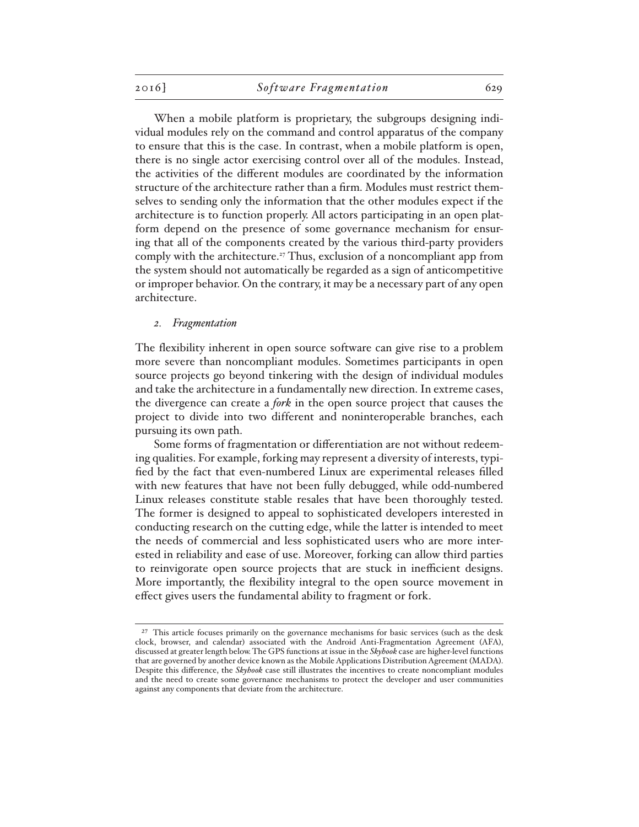When a mobile platform is proprietary, the subgroups designing individual modules rely on the command and control apparatus of the company to ensure that this is the case. In contrast, when a mobile platform is open, there is no single actor exercising control over all of the modules. Instead, the activities of the different modules are coordinated by the information structure of the architecture rather than a firm. Modules must restrict themselves to sending only the information that the other modules expect if the architecture is to function properly. All actors participating in an open platform depend on the presence of some governance mechanism for ensuring that all of the components created by the various third-party providers comply with the architecture.27 Thus, exclusion of a noncompliant app from the system should not automatically be regarded as a sign of anticompetitive or improper behavior. On the contrary, it may be a necessary part of any open architecture.

#### *2. Fragmentation*

The flexibility inherent in open source software can give rise to a problem more severe than noncompliant modules. Sometimes participants in open source projects go beyond tinkering with the design of individual modules and take the architecture in a fundamentally new direction. In extreme cases, the divergence can create a *fork* in the open source project that causes the project to divide into two different and noninteroperable branches, each pursuing its own path.

Some forms of fragmentation or differentiation are not without redeeming qualities. For example, forking may represent a diversity of interests, typified by the fact that even-numbered Linux are experimental releases filled with new features that have not been fully debugged, while odd-numbered Linux releases constitute stable resales that have been thoroughly tested. The former is designed to appeal to sophisticated developers interested in conducting research on the cutting edge, while the latter is intended to meet the needs of commercial and less sophisticated users who are more interested in reliability and ease of use. Moreover, forking can allow third parties to reinvigorate open source projects that are stuck in inefficient designs. More importantly, the flexibility integral to the open source movement in effect gives users the fundamental ability to fragment or fork.

<sup>&</sup>lt;sup>27</sup> This article focuses primarily on the governance mechanisms for basic services (such as the desk clock, browser, and calendar) associated with the Android Anti-Fragmentation Agreement (AFA), discussed at greater length below. The GPS functions at issue in the *Skyhook* case are higher-level functions that are governed by another device known as the Mobile Applications Distribution Agreement (MADA). Despite this difference, the *Skyhook* case still illustrates the incentives to create noncompliant modules and the need to create some governance mechanisms to protect the developer and user communities against any components that deviate from the architecture.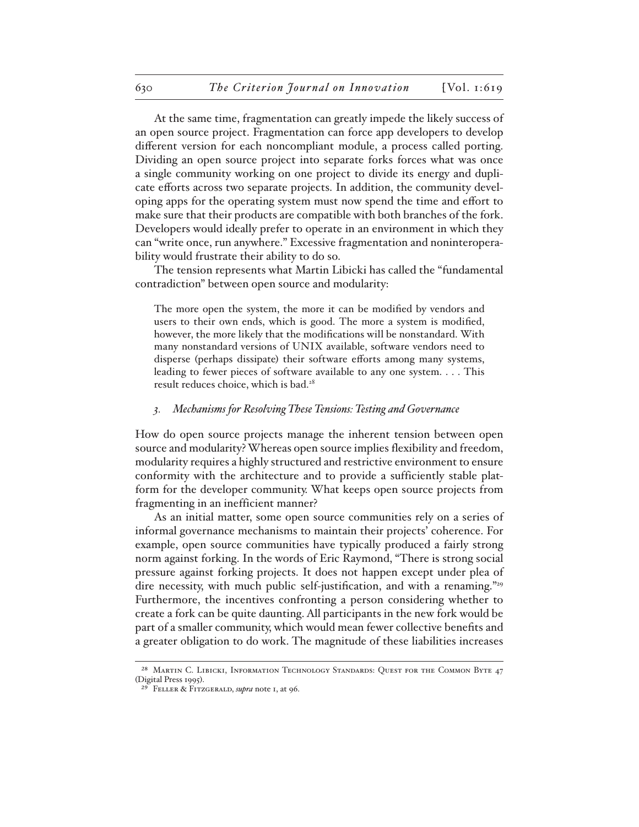At the same time, fragmentation can greatly impede the likely success of an open source project. Fragmentation can force app developers to develop different version for each noncompliant module, a process called porting. Dividing an open source project into separate forks forces what was once a single community working on one project to divide its energy and duplicate efforts across two separate projects. In addition, the community developing apps for the operating system must now spend the time and effort to make sure that their products are compatible with both branches of the fork. Developers would ideally prefer to operate in an environment in which they can "write once, run anywhere." Excessive fragmentation and noninteroperability would frustrate their ability to do so.

The tension represents what Martin Libicki has called the "fundamental contradiction" between open source and modularity:

The more open the system, the more it can be modified by vendors and users to their own ends, which is good. The more a system is modified, however, the more likely that the modifications will be nonstandard. With many nonstandard versions of UNIX available, software vendors need to disperse (perhaps dissipate) their software efforts among many systems, leading to fewer pieces of software available to any one system. . . . This result reduces choice, which is bad.28

#### *3. Mechanisms for Resolving These Tensions: Testing and Governance*

How do open source projects manage the inherent tension between open source and modularity? Whereas open source implies flexibility and freedom, modularity requires a highly structured and restrictive environment to ensure conformity with the architecture and to provide a sufficiently stable platform for the developer community. What keeps open source projects from fragmenting in an inefficient manner?

As an initial matter, some open source communities rely on a series of informal governance mechanisms to maintain their projects' coherence. For example, open source communities have typically produced a fairly strong norm against forking. In the words of Eric Raymond, "There is strong social pressure against forking projects. It does not happen except under plea of dire necessity, with much public self-justification, and with a renaming."<sup>29</sup> Furthermore, the incentives confronting a person considering whether to create a fork can be quite daunting. All participants in the new fork would be part of a smaller community, which would mean fewer collective benefits and a greater obligation to do work. The magnitude of these liabilities increases

<sup>&</sup>lt;sup>28</sup> MARTIN C. LIBICKI, INFORMATION TECHNOLOGY STANDARDS: QUEST FOR THE COMMON BYTE 47 (Digital Press 1995).

<sup>29</sup> Feller & Fitzgerald, *supra* note 1, at 96.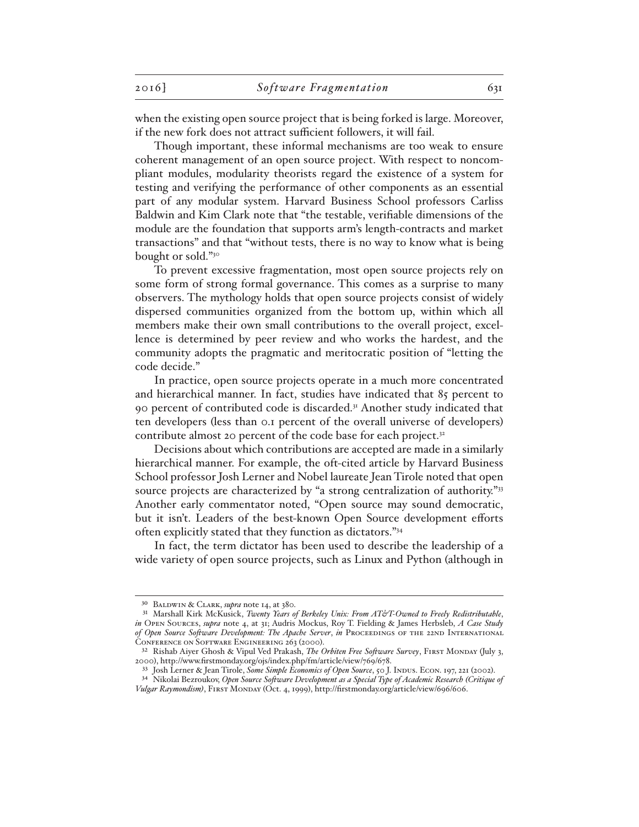when the existing open source project that is being forked is large. Moreover, if the new fork does not attract sufficient followers, it will fail.

Though important, these informal mechanisms are too weak to ensure coherent management of an open source project. With respect to noncompliant modules, modularity theorists regard the existence of a system for testing and verifying the performance of other components as an essential part of any modular system. Harvard Business School professors Carliss Baldwin and Kim Clark note that "the testable, verifiable dimensions of the module are the foundation that supports arm's length-contracts and market transactions" and that "without tests, there is no way to know what is being bought or sold."30

To prevent excessive fragmentation, most open source projects rely on some form of strong formal governance. This comes as a surprise to many observers. The mythology holds that open source projects consist of widely dispersed communities organized from the bottom up, within which all members make their own small contributions to the overall project, excellence is determined by peer review and who works the hardest, and the community adopts the pragmatic and meritocratic position of "letting the code decide."

In practice, open source projects operate in a much more concentrated and hierarchical manner. In fact, studies have indicated that 85 percent to 90 percent of contributed code is discarded.<sup>31</sup> Another study indicated that ten developers (less than 0.1 percent of the overall universe of developers) contribute almost 20 percent of the code base for each project.<sup>32</sup>

Decisions about which contributions are accepted are made in a similarly hierarchical manner. For example, the oft-cited article by Harvard Business School professor Josh Lerner and Nobel laureate Jean Tirole noted that open source projects are characterized by "a strong centralization of authority."<sup>33</sup> Another early commentator noted, "Open source may sound democratic, but it isn't. Leaders of the best-known Open Source development efforts often explicitly stated that they function as dictators."34

In fact, the term dictator has been used to describe the leadership of a wide variety of open source projects, such as Linux and Python (although in

<sup>30</sup> Baldwin & Clark, *supra* note 14, at 380.

<sup>31</sup> Marshall Kirk McKusick, *Twenty Years of Berkeley Unix: From AT&T-Owned to Freely Redistributable*, *in* Open Sources, *supra* note 4, at 31; Audris Mockus, Roy T. Fielding & James Herbsleb, *A Case Study*  of Open Source Software Development: The Apache Server, *in* PROCEEDINGS OF THE 22ND INTERNATIONAL CONFERENCE ON SOFTWARE ENGINEERING 263 (2000).

<sup>32</sup> Rishab Aiyer Ghosh & Vipul Ved Prakash, *The Orbiten Free Software Survey*, First Monday (July 3, 2000), http://www.firstmonday.org/ojs/index.php/fm/article/view/769/678.

<sup>33</sup> Josh Lerner & Jean Tirole, *Some Simple Economics of Open Source*, 50 J. Indus. Econ. 197, 221 (2002). 34 Nikolai Bezroukov, *Open Source Software Development as a Special Type of Academic Research (Critique of Vulgar Raymondism)*, First Monday (Oct. 4, 1999), http://firstmonday.org/article/view/696/606.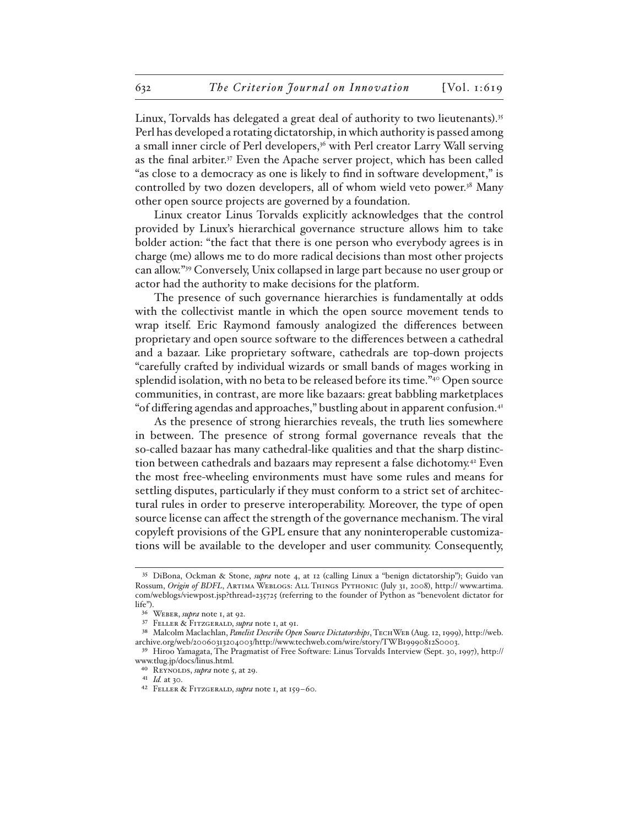Linux, Torvalds has delegated a great deal of authority to two lieutenants).35 Perl has developed a rotating dictatorship, in which authority is passed among a small inner circle of Perl developers,36 with Perl creator Larry Wall serving as the final arbiter.37 Even the Apache server project, which has been called "as close to a democracy as one is likely to find in software development," is controlled by two dozen developers, all of whom wield veto power.38 Many other open source projects are governed by a foundation.

Linux creator Linus Torvalds explicitly acknowledges that the control provided by Linux's hierarchical governance structure allows him to take bolder action: "the fact that there is one person who everybody agrees is in charge (me) allows me to do more radical decisions than most other projects can allow."39 Conversely, Unix collapsed in large part because no user group or actor had the authority to make decisions for the platform.

The presence of such governance hierarchies is fundamentally at odds with the collectivist mantle in which the open source movement tends to wrap itself. Eric Raymond famously analogized the differences between proprietary and open source software to the differences between a cathedral and a bazaar. Like proprietary software, cathedrals are top-down projects "carefully crafted by individual wizards or small bands of mages working in splendid isolation, with no beta to be released before its time."40 Open source communities, in contrast, are more like bazaars: great babbling marketplaces "of differing agendas and approaches," bustling about in apparent confusion.41

As the presence of strong hierarchies reveals, the truth lies somewhere in between. The presence of strong formal governance reveals that the so-called bazaar has many cathedral-like qualities and that the sharp distinction between cathedrals and bazaars may represent a false dichotomy.42 Even the most free-wheeling environments must have some rules and means for settling disputes, particularly if they must conform to a strict set of architectural rules in order to preserve interoperability. Moreover, the type of open source license can affect the strength of the governance mechanism. The viral copyleft provisions of the GPL ensure that any noninteroperable customizations will be available to the developer and user community. Consequently,

<sup>35</sup> DiBona, Ockman & Stone, *supra* note 4, at 12 (calling Linux a "benign dictatorship"); Guido van Rossum, *Origin of BDFL*, ARTIMA WEBLOGS: ALL THINGS PYTHONIC (July 31, 2008), http:// www.artima. com/weblogs/viewpost.jsp?thread=235725 (referring to the founder of Python as "benevolent dictator for life").

<sup>36</sup> Weber, *supra* note 1, at 92.

<sup>37</sup> Feller & Fitzgerald, *supra* note 1, at 91.

<sup>38</sup> Malcolm Maclachlan, *Panelist Describe Open Source Dictatorships*, TECHWEB (Aug. 12, 1999), http://web. archive.org/web/20060313204003/http://www.techweb.com/wire/story/TWB19990812S0003.

<sup>39</sup> Hiroo Yamagata, The Pragmatist of Free Software: Linus Torvalds Interview (Sept. 30, 1997), http:// www.tlug.jp/docs/linus.html.

<sup>40</sup> Reynolds, *supra* note 5, at 29.

<sup>41</sup> *Id.* at 30.

<sup>42</sup> Feller & Fitzgerald, *supra* note 1, at 159–60.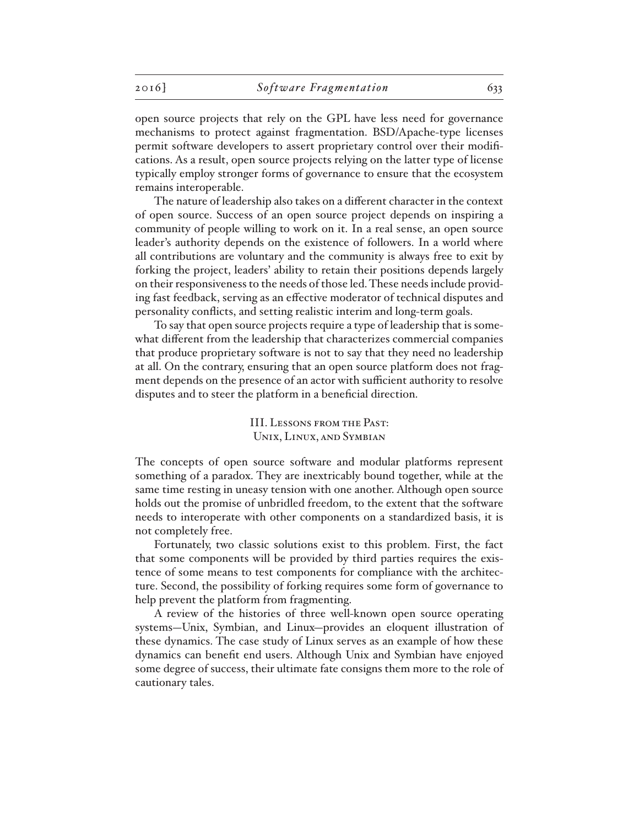open source projects that rely on the GPL have less need for governance mechanisms to protect against fragmentation. BSD/Apache-type licenses permit software developers to assert proprietary control over their modifications. As a result, open source projects relying on the latter type of license typically employ stronger forms of governance to ensure that the ecosystem remains interoperable.

The nature of leadership also takes on a different character in the context of open source. Success of an open source project depends on inspiring a community of people willing to work on it. In a real sense, an open source leader's authority depends on the existence of followers. In a world where all contributions are voluntary and the community is always free to exit by forking the project, leaders' ability to retain their positions depends largely on their responsiveness to the needs of those led. These needs include providing fast feedback, serving as an effective moderator of technical disputes and personality conflicts, and setting realistic interim and long-term goals.

To say that open source projects require a type of leadership that is somewhat different from the leadership that characterizes commercial companies that produce proprietary software is not to say that they need no leadership at all. On the contrary, ensuring that an open source platform does not fragment depends on the presence of an actor with sufficient authority to resolve disputes and to steer the platform in a beneficial direction.

> III. Lessons from the Past: Unix, Linux, and Symbian

The concepts of open source software and modular platforms represent something of a paradox. They are inextricably bound together, while at the same time resting in uneasy tension with one another. Although open source holds out the promise of unbridled freedom, to the extent that the software needs to interoperate with other components on a standardized basis, it is not completely free.

Fortunately, two classic solutions exist to this problem. First, the fact that some components will be provided by third parties requires the existence of some means to test components for compliance with the architecture. Second, the possibility of forking requires some form of governance to help prevent the platform from fragmenting.

A review of the histories of three well-known open source operating systems—Unix, Symbian, and Linux—provides an eloquent illustration of these dynamics. The case study of Linux serves as an example of how these dynamics can benefit end users. Although Unix and Symbian have enjoyed some degree of success, their ultimate fate consigns them more to the role of cautionary tales.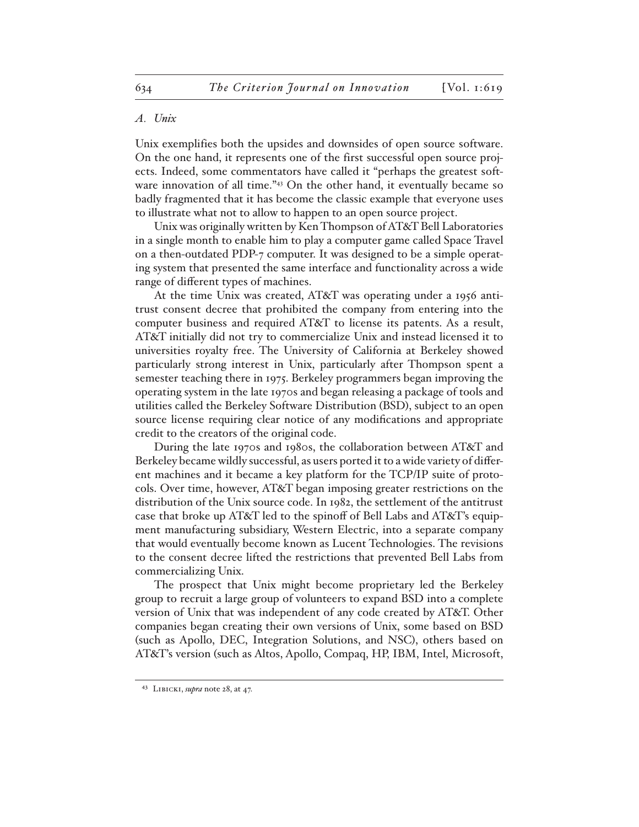## *A. Unix*

Unix exemplifies both the upsides and downsides of open source software. On the one hand, it represents one of the first successful open source projects. Indeed, some commentators have called it "perhaps the greatest software innovation of all time."<sup>43</sup> On the other hand, it eventually became so badly fragmented that it has become the classic example that everyone uses to illustrate what not to allow to happen to an open source project.

Unix was originally written by Ken Thompson of AT&T Bell Laboratories in a single month to enable him to play a computer game called Space Travel on a then-outdated PDP-7 computer. It was designed to be a simple operating system that presented the same interface and functionality across a wide range of different types of machines.

At the time Unix was created, AT&T was operating under a 1956 antitrust consent decree that prohibited the company from entering into the computer business and required AT&T to license its patents. As a result, AT&T initially did not try to commercialize Unix and instead licensed it to universities royalty free. The University of California at Berkeley showed particularly strong interest in Unix, particularly after Thompson spent a semester teaching there in 1975. Berkeley programmers began improving the operating system in the late 1970s and began releasing a package of tools and utilities called the Berkeley Software Distribution (BSD), subject to an open source license requiring clear notice of any modifications and appropriate credit to the creators of the original code.

During the late 1970s and 1980s, the collaboration between AT&T and Berkeley became wildly successful, as users ported it to a wide variety of different machines and it became a key platform for the TCP/IP suite of protocols. Over time, however, AT&T began imposing greater restrictions on the distribution of the Unix source code. In 1982, the settlement of the antitrust case that broke up AT&T led to the spinoff of Bell Labs and AT&T's equipment manufacturing subsidiary, Western Electric, into a separate company that would eventually become known as Lucent Technologies. The revisions to the consent decree lifted the restrictions that prevented Bell Labs from commercializing Unix.

The prospect that Unix might become proprietary led the Berkeley group to recruit a large group of volunteers to expand BSD into a complete version of Unix that was independent of any code created by AT&T. Other companies began creating their own versions of Unix, some based on BSD (such as Apollo, DEC, Integration Solutions, and NSC), others based on AT&T's version (such as Altos, Apollo, Compaq, HP, IBM, Intel, Microsoft,

<sup>43</sup> Libicki, *supra* note 28, at 47.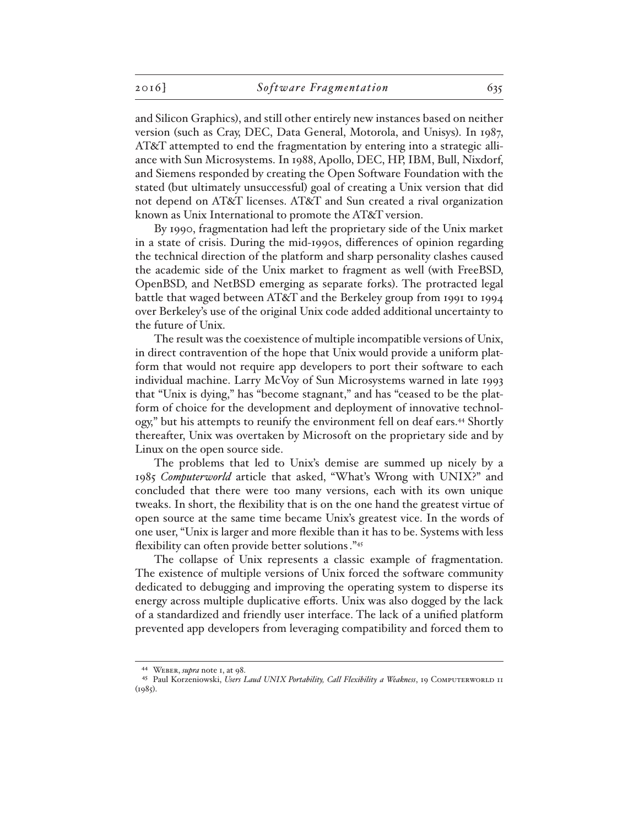and Silicon Graphics), and still other entirely new instances based on neither version (such as Cray, DEC, Data General, Motorola, and Unisys). In 1987, AT&T attempted to end the fragmentation by entering into a strategic alliance with Sun Microsystems. In 1988, Apollo, DEC, HP, IBM, Bull, Nixdorf, and Siemens responded by creating the Open Software Foundation with the stated (but ultimately unsuccessful) goal of creating a Unix version that did not depend on AT&T licenses. AT&T and Sun created a rival organization known as Unix International to promote the AT&T version.

By 1990, fragmentation had left the proprietary side of the Unix market in a state of crisis. During the mid-1990s, differences of opinion regarding the technical direction of the platform and sharp personality clashes caused the academic side of the Unix market to fragment as well (with FreeBSD, OpenBSD, and NetBSD emerging as separate forks). The protracted legal battle that waged between AT&T and the Berkeley group from 1991 to 1994 over Berkeley's use of the original Unix code added additional uncertainty to the future of Unix.

The result was the coexistence of multiple incompatible versions of Unix, in direct contravention of the hope that Unix would provide a uniform platform that would not require app developers to port their software to each individual machine. Larry McVoy of Sun Microsystems warned in late 1993 that "Unix is dying," has "become stagnant," and has "ceased to be the platform of choice for the development and deployment of innovative technology," but his attempts to reunify the environment fell on deaf ears.44 Shortly thereafter, Unix was overtaken by Microsoft on the proprietary side and by Linux on the open source side.

The problems that led to Unix's demise are summed up nicely by a 1985 *Computerworld* article that asked, "What's Wrong with UNIX?" and concluded that there were too many versions, each with its own unique tweaks. In short, the flexibility that is on the one hand the greatest virtue of open source at the same time became Unix's greatest vice. In the words of one user, "Unix is larger and more flexible than it has to be. Systems with less flexibility can often provide better solutions."45

The collapse of Unix represents a classic example of fragmentation. The existence of multiple versions of Unix forced the software community dedicated to debugging and improving the operating system to disperse its energy across multiple duplicative efforts. Unix was also dogged by the lack of a standardized and friendly user interface. The lack of a unified platform prevented app developers from leveraging compatibility and forced them to

<sup>44</sup> Weber, *supra* note 1, at 98.

<sup>45</sup> Paul Korzeniowski, Users Laud UNIX Portability, Call Flexibility a Weakness, 19 COMPUTERWORLD 11  $(1985).$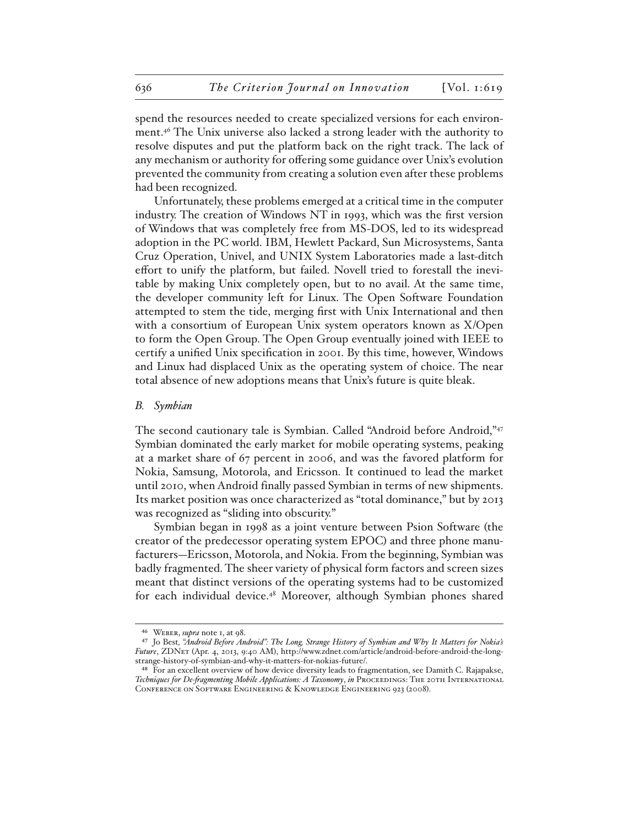spend the resources needed to create specialized versions for each environment.46 The Unix universe also lacked a strong leader with the authority to resolve disputes and put the platform back on the right track. The lack of any mechanism or authority for offering some guidance over Unix's evolution prevented the community from creating a solution even after these problems had been recognized.

Unfortunately, these problems emerged at a critical time in the computer industry. The creation of Windows NT in 1993, which was the first version of Windows that was completely free from MS-DOS, led to its widespread adoption in the PC world. IBM, Hewlett Packard, Sun Microsystems, Santa Cruz Operation, Univel, and UNIX System Laboratories made a last-ditch effort to unify the platform, but failed. Novell tried to forestall the inevitable by making Unix completely open, but to no avail. At the same time, the developer community left for Linux. The Open Software Foundation attempted to stem the tide, merging first with Unix International and then with a consortium of European Unix system operators known as X/Open to form the Open Group. The Open Group eventually joined with IEEE to certify a unified Unix specification in 2001. By this time, however, Windows and Linux had displaced Unix as the operating system of choice. The near total absence of new adoptions means that Unix's future is quite bleak.

## *B. Symbian*

The second cautionary tale is Symbian. Called "Android before Android,"<sup>47</sup> Symbian dominated the early market for mobile operating systems, peaking at a market share of 67 percent in 2006, and was the favored platform for Nokia, Samsung, Motorola, and Ericsson. It continued to lead the market until 2010, when Android finally passed Symbian in terms of new shipments. Its market position was once characterized as "total dominance," but by 2013 was recognized as "sliding into obscurity."

Symbian began in 1998 as a joint venture between Psion Software (the creator of the predecessor operating system EPOC) and three phone manufacturers—Ericsson, Motorola, and Nokia. From the beginning, Symbian was badly fragmented. The sheer variety of physical form factors and screen sizes meant that distinct versions of the operating systems had to be customized for each individual device.48 Moreover, although Symbian phones shared

<sup>46</sup> Weber, *supra* note 1, at 98.

<sup>47</sup> Jo Best*, "Android Before Android": The Long, Strange History of Symbian and Why It Matters for Nokia's Future*, ZDNet (Apr. 4, 2013, 9:40 AM), http://www.zdnet.com/article/android-before-android-the-longstrange-history-of-symbian-and-why-it-matters-for-nokias-future/.

<sup>48</sup> For an excellent overview of how device diversity leads to fragmentation, see Damith C. Rajapakse, *Techniques for De-fragmenting Mobile Applications: A Taxonomy*, *in* Proceedings: The 20th International Conference on Software Engineering & Knowledge Engineering 923 (2008).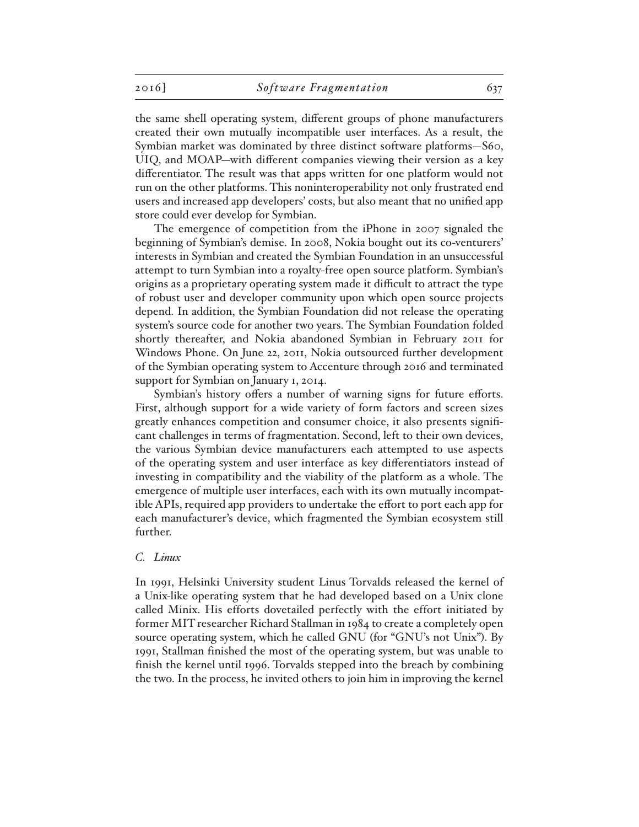the same shell operating system, different groups of phone manufacturers created their own mutually incompatible user interfaces. As a result, the Symbian market was dominated by three distinct software platforms—S60, UIQ, and MOAP—with different companies viewing their version as a key differentiator. The result was that apps written for one platform would not run on the other platforms. This noninteroperability not only frustrated end users and increased app developers' costs, but also meant that no unified app store could ever develop for Symbian.

The emergence of competition from the iPhone in 2007 signaled the beginning of Symbian's demise. In 2008, Nokia bought out its co-venturers' interests in Symbian and created the Symbian Foundation in an unsuccessful attempt to turn Symbian into a royalty-free open source platform. Symbian's origins as a proprietary operating system made it difficult to attract the type of robust user and developer community upon which open source projects depend. In addition, the Symbian Foundation did not release the operating system's source code for another two years. The Symbian Foundation folded shortly thereafter, and Nokia abandoned Symbian in February 2011 for Windows Phone. On June 22, 2011, Nokia outsourced further development of the Symbian operating system to Accenture through 2016 and terminated support for Symbian on January 1, 2014.

Symbian's history offers a number of warning signs for future efforts. First, although support for a wide variety of form factors and screen sizes greatly enhances competition and consumer choice, it also presents significant challenges in terms of fragmentation. Second, left to their own devices, the various Symbian device manufacturers each attempted to use aspects of the operating system and user interface as key differentiators instead of investing in compatibility and the viability of the platform as a whole. The emergence of multiple user interfaces, each with its own mutually incompatible APIs, required app providers to undertake the effort to port each app for each manufacturer's device, which fragmented the Symbian ecosystem still further.

## *C. Linux*

In 1991, Helsinki University student Linus Torvalds released the kernel of a Unix-like operating system that he had developed based on a Unix clone called Minix. His efforts dovetailed perfectly with the effort initiated by former MIT researcher Richard Stallman in 1984 to create a completely open source operating system, which he called GNU (for "GNU's not Unix"). By 1991, Stallman finished the most of the operating system, but was unable to finish the kernel until 1996. Torvalds stepped into the breach by combining the two. In the process, he invited others to join him in improving the kernel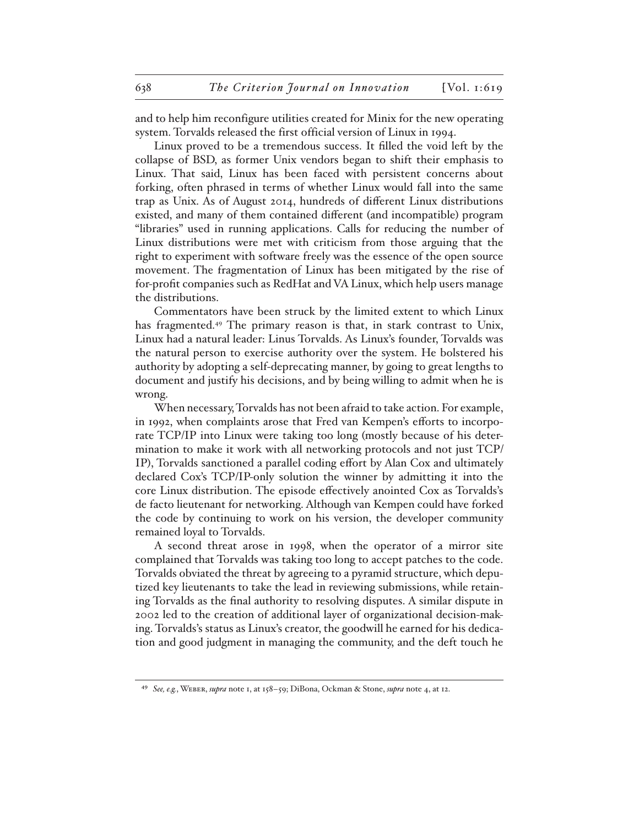and to help him reconfigure utilities created for Minix for the new operating system. Torvalds released the first official version of Linux in 1994.

Linux proved to be a tremendous success. It filled the void left by the collapse of BSD, as former Unix vendors began to shift their emphasis to Linux. That said, Linux has been faced with persistent concerns about forking, often phrased in terms of whether Linux would fall into the same trap as Unix. As of August 2014, hundreds of different Linux distributions existed, and many of them contained different (and incompatible) program "libraries" used in running applications. Calls for reducing the number of Linux distributions were met with criticism from those arguing that the right to experiment with software freely was the essence of the open source movement. The fragmentation of Linux has been mitigated by the rise of for-profit companies such as RedHat and VA Linux, which help users manage the distributions.

Commentators have been struck by the limited extent to which Linux has fragmented.49 The primary reason is that, in stark contrast to Unix, Linux had a natural leader: Linus Torvalds. As Linux's founder, Torvalds was the natural person to exercise authority over the system. He bolstered his authority by adopting a self-deprecating manner, by going to great lengths to document and justify his decisions, and by being willing to admit when he is wrong.

When necessary, Torvalds has not been afraid to take action. For example, in 1992, when complaints arose that Fred van Kempen's efforts to incorporate TCP/IP into Linux were taking too long (mostly because of his determination to make it work with all networking protocols and not just TCP/ IP), Torvalds sanctioned a parallel coding effort by Alan Cox and ultimately declared Cox's TCP/IP-only solution the winner by admitting it into the core Linux distribution. The episode effectively anointed Cox as Torvalds's de facto lieutenant for networking. Although van Kempen could have forked the code by continuing to work on his version, the developer community remained loyal to Torvalds.

A second threat arose in 1998, when the operator of a mirror site complained that Torvalds was taking too long to accept patches to the code. Torvalds obviated the threat by agreeing to a pyramid structure, which deputized key lieutenants to take the lead in reviewing submissions, while retaining Torvalds as the final authority to resolving disputes. A similar dispute in 2002 led to the creation of additional layer of organizational decision-making. Torvalds's status as Linux's creator, the goodwill he earned for his dedication and good judgment in managing the community, and the deft touch he

<sup>49</sup> *See, e.g.*, Weber, *supra* note 1, at 158–59; DiBona, Ockman & Stone, *supra* note 4, at 12.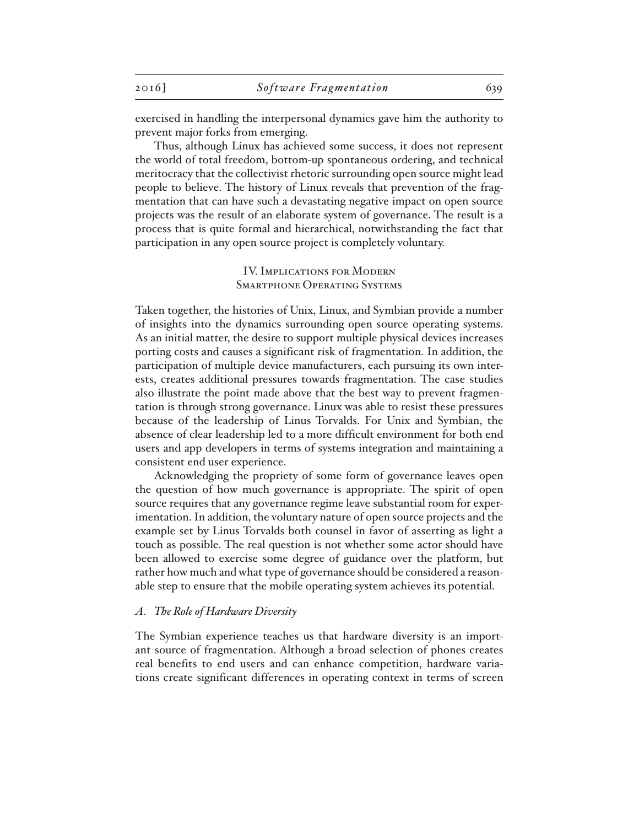exercised in handling the interpersonal dynamics gave him the authority to prevent major forks from emerging.

Thus, although Linux has achieved some success, it does not represent the world of total freedom, bottom-up spontaneous ordering, and technical meritocracy that the collectivist rhetoric surrounding open source might lead people to believe. The history of Linux reveals that prevention of the fragmentation that can have such a devastating negative impact on open source projects was the result of an elaborate system of governance. The result is a process that is quite formal and hierarchical, notwithstanding the fact that participation in any open source project is completely voluntary.

## IV. Implications for Modern Smartphone Operating Systems

Taken together, the histories of Unix, Linux, and Symbian provide a number of insights into the dynamics surrounding open source operating systems. As an initial matter, the desire to support multiple physical devices increases porting costs and causes a significant risk of fragmentation. In addition, the participation of multiple device manufacturers, each pursuing its own interests, creates additional pressures towards fragmentation. The case studies also illustrate the point made above that the best way to prevent fragmentation is through strong governance. Linux was able to resist these pressures because of the leadership of Linus Torvalds. For Unix and Symbian, the absence of clear leadership led to a more difficult environment for both end users and app developers in terms of systems integration and maintaining a consistent end user experience.

Acknowledging the propriety of some form of governance leaves open the question of how much governance is appropriate. The spirit of open source requires that any governance regime leave substantial room for experimentation. In addition, the voluntary nature of open source projects and the example set by Linus Torvalds both counsel in favor of asserting as light a touch as possible. The real question is not whether some actor should have been allowed to exercise some degree of guidance over the platform, but rather how much and what type of governance should be considered a reasonable step to ensure that the mobile operating system achieves its potential.

## *A. The Role of Hardware Diversity*

The Symbian experience teaches us that hardware diversity is an important source of fragmentation. Although a broad selection of phones creates real benefits to end users and can enhance competition, hardware variations create significant differences in operating context in terms of screen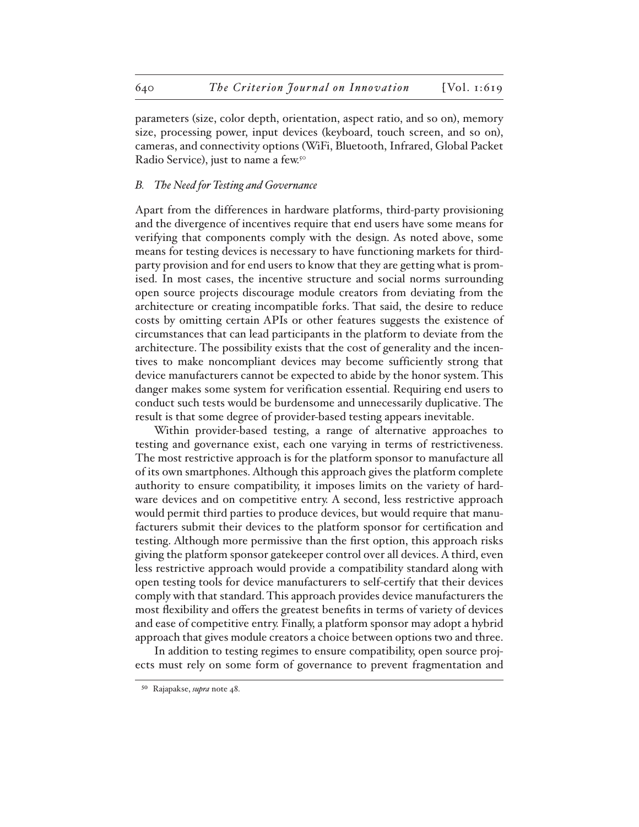parameters (size, color depth, orientation, aspect ratio, and so on), memory size, processing power, input devices (keyboard, touch screen, and so on), cameras, and connectivity options (WiFi, Bluetooth, Infrared, Global Packet Radio Service), just to name a few.<sup>50</sup>

## *B. The Need for Testing and Governance*

Apart from the differences in hardware platforms, third-party provisioning and the divergence of incentives require that end users have some means for verifying that components comply with the design. As noted above, some means for testing devices is necessary to have functioning markets for thirdparty provision and for end users to know that they are getting what is promised. In most cases, the incentive structure and social norms surrounding open source projects discourage module creators from deviating from the architecture or creating incompatible forks. That said, the desire to reduce costs by omitting certain APIs or other features suggests the existence of circumstances that can lead participants in the platform to deviate from the architecture. The possibility exists that the cost of generality and the incentives to make noncompliant devices may become sufficiently strong that device manufacturers cannot be expected to abide by the honor system. This danger makes some system for verification essential. Requiring end users to conduct such tests would be burdensome and unnecessarily duplicative. The result is that some degree of provider-based testing appears inevitable.

Within provider-based testing, a range of alternative approaches to testing and governance exist, each one varying in terms of restrictiveness. The most restrictive approach is for the platform sponsor to manufacture all of its own smartphones. Although this approach gives the platform complete authority to ensure compatibility, it imposes limits on the variety of hardware devices and on competitive entry. A second, less restrictive approach would permit third parties to produce devices, but would require that manufacturers submit their devices to the platform sponsor for certification and testing. Although more permissive than the first option, this approach risks giving the platform sponsor gatekeeper control over all devices. A third, even less restrictive approach would provide a compatibility standard along with open testing tools for device manufacturers to self-certify that their devices comply with that standard. This approach provides device manufacturers the most flexibility and offers the greatest benefits in terms of variety of devices and ease of competitive entry. Finally, a platform sponsor may adopt a hybrid approach that gives module creators a choice between options two and three.

In addition to testing regimes to ensure compatibility, open source projects must rely on some form of governance to prevent fragmentation and

<sup>50</sup> Rajapakse, *supra* note 48.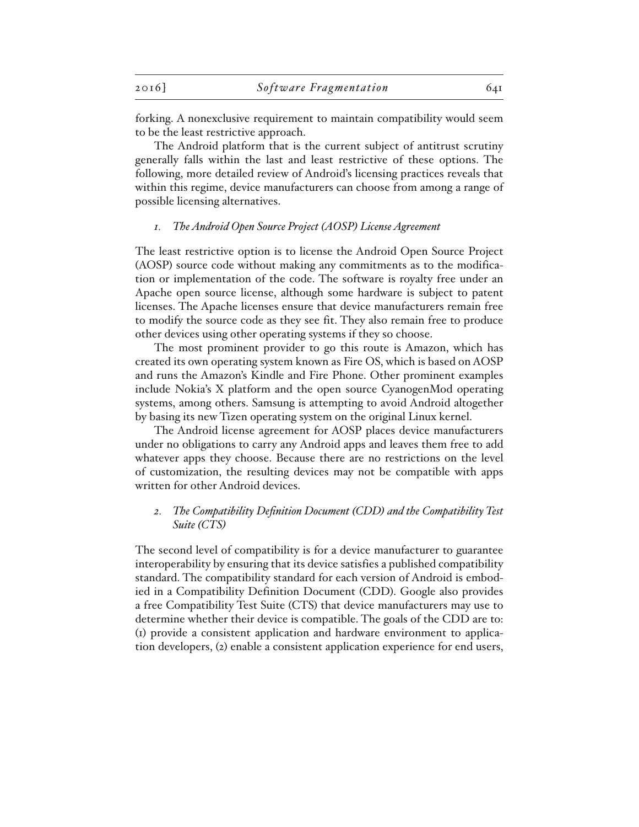forking. A nonexclusive requirement to maintain compatibility would seem to be the least restrictive approach.

The Android platform that is the current subject of antitrust scrutiny generally falls within the last and least restrictive of these options. The following, more detailed review of Android's licensing practices reveals that within this regime, device manufacturers can choose from among a range of possible licensing alternatives.

## *1. The Android Open Source Project (AOSP) License Agreement*

The least restrictive option is to license the Android Open Source Project (AOSP) source code without making any commitments as to the modification or implementation of the code. The software is royalty free under an Apache open source license, although some hardware is subject to patent licenses. The Apache licenses ensure that device manufacturers remain free to modify the source code as they see fit. They also remain free to produce other devices using other operating systems if they so choose.

The most prominent provider to go this route is Amazon, which has created its own operating system known as Fire OS, which is based on AOSP and runs the Amazon's Kindle and Fire Phone. Other prominent examples include Nokia's X platform and the open source CyanogenMod operating systems, among others. Samsung is attempting to avoid Android altogether by basing its new Tizen operating system on the original Linux kernel.

The Android license agreement for AOSP places device manufacturers under no obligations to carry any Android apps and leaves them free to add whatever apps they choose. Because there are no restrictions on the level of customization, the resulting devices may not be compatible with apps written for other Android devices.

## *2. The Compatibility Definition Document (CDD) and the Compatibility Test Suite (CTS)*

The second level of compatibility is for a device manufacturer to guarantee interoperability by ensuring that its device satisfies a published compatibility standard. The compatibility standard for each version of Android is embodied in a Compatibility Definition Document (CDD). Google also provides a free Compatibility Test Suite (CTS) that device manufacturers may use to determine whether their device is compatible. The goals of the CDD are to: (1) provide a consistent application and hardware environment to application developers, (2) enable a consistent application experience for end users,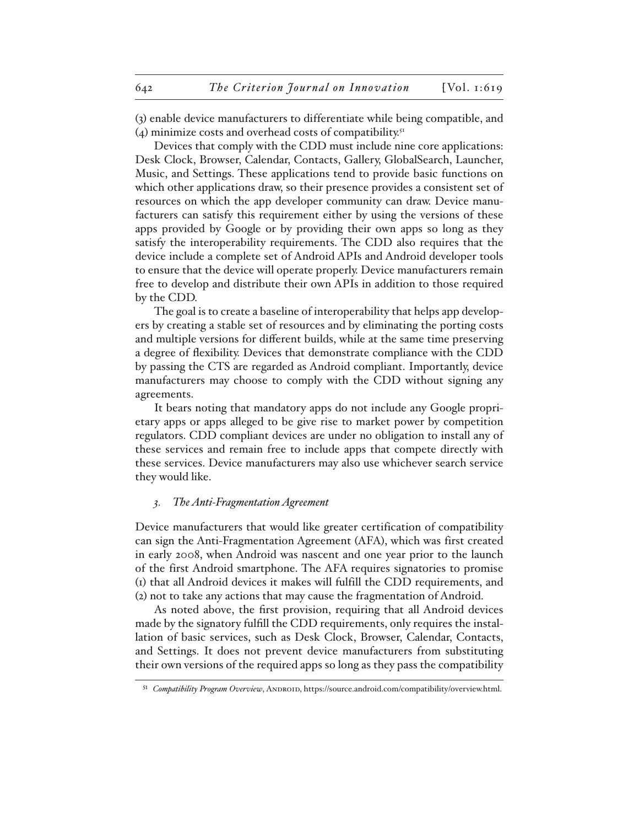(3) enable device manufacturers to differentiate while being compatible, and (4) minimize costs and overhead costs of compatibility. $51$ 

Devices that comply with the CDD must include nine core applications: Desk Clock, Browser, Calendar, Contacts, Gallery, GlobalSearch, Launcher, Music, and Settings. These applications tend to provide basic functions on which other applications draw, so their presence provides a consistent set of resources on which the app developer community can draw. Device manufacturers can satisfy this requirement either by using the versions of these apps provided by Google or by providing their own apps so long as they satisfy the interoperability requirements. The CDD also requires that the device include a complete set of Android APIs and Android developer tools to ensure that the device will operate properly. Device manufacturers remain free to develop and distribute their own APIs in addition to those required by the CDD.

The goal is to create a baseline of interoperability that helps app developers by creating a stable set of resources and by eliminating the porting costs and multiple versions for different builds, while at the same time preserving a degree of flexibility. Devices that demonstrate compliance with the CDD by passing the CTS are regarded as Android compliant. Importantly, device manufacturers may choose to comply with the CDD without signing any agreements.

It bears noting that mandatory apps do not include any Google proprietary apps or apps alleged to be give rise to market power by competition regulators. CDD compliant devices are under no obligation to install any of these services and remain free to include apps that compete directly with these services. Device manufacturers may also use whichever search service they would like.

## *3. The Anti-Fragmentation Agreement*

Device manufacturers that would like greater certification of compatibility can sign the Anti-Fragmentation Agreement (AFA), which was first created in early 2008, when Android was nascent and one year prior to the launch of the first Android smartphone. The AFA requires signatories to promise (1) that all Android devices it makes will fulfill the CDD requirements, and (2) not to take any actions that may cause the fragmentation of Android.

As noted above, the first provision, requiring that all Android devices made by the signatory fulfill the CDD requirements, only requires the installation of basic services, such as Desk Clock, Browser, Calendar, Contacts, and Settings. It does not prevent device manufacturers from substituting their own versions of the required apps so long as they pass the compatibility

<sup>51</sup> *Compatibility Program Overview*, ANDROID, https://source.android.com/compatibility/overview.html.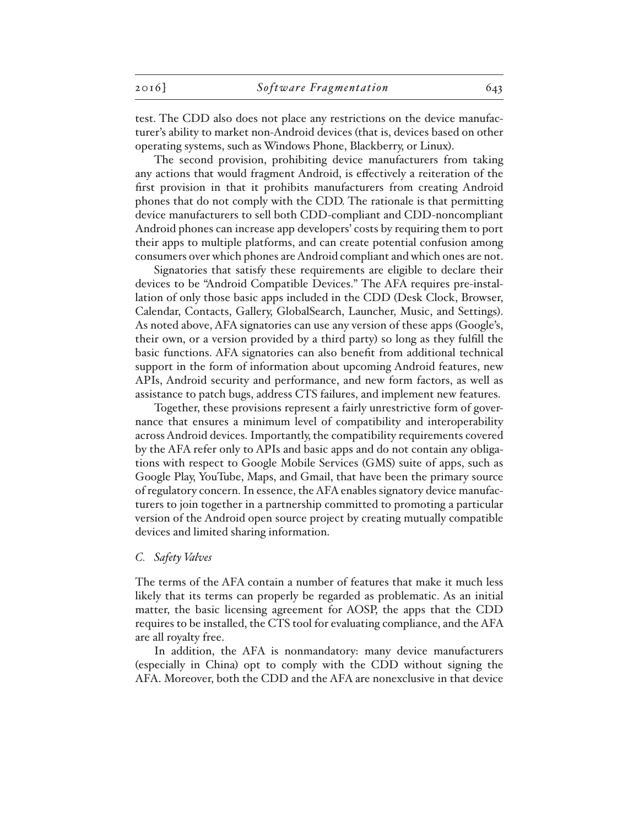test. The CDD also does not place any restrictions on the device manufacturer's ability to market non-Android devices (that is, devices based on other operating systems, such as Windows Phone, Blackberry, or Linux).

The second provision, prohibiting device manufacturers from taking any actions that would fragment Android, is effectively a reiteration of the first provision in that it prohibits manufacturers from creating Android phones that do not comply with the CDD. The rationale is that permitting device manufacturers to sell both CDD-compliant and CDD-noncompliant Android phones can increase app developers' costs by requiring them to port their apps to multiple platforms, and can create potential confusion among consumers over which phones are Android compliant and which ones are not.

Signatories that satisfy these requirements are eligible to declare their devices to be "Android Compatible Devices." The AFA requires pre-installation of only those basic apps included in the CDD (Desk Clock, Browser, Calendar, Contacts, Gallery, GlobalSearch, Launcher, Music, and Settings). As noted above, AFA signatories can use any version of these apps (Google's, their own, or a version provided by a third party) so long as they fulfill the basic functions. AFA signatories can also benefit from additional technical support in the form of information about upcoming Android features, new APIs, Android security and performance, and new form factors, as well as assistance to patch bugs, address CTS failures, and implement new features.

Together, these provisions represent a fairly unrestrictive form of governance that ensures a minimum level of compatibility and interoperability across Android devices. Importantly, the compatibility requirements covered by the AFA refer only to APIs and basic apps and do not contain any obligations with respect to Google Mobile Services (GMS) suite of apps, such as Google Play, YouTube, Maps, and Gmail, that have been the primary source of regulatory concern. In essence, the AFA enables signatory device manufacturers to join together in a partnership committed to promoting a particular version of the Android open source project by creating mutually compatible devices and limited sharing information.

## *C. Safety Valves*

The terms of the AFA contain a number of features that make it much less likely that its terms can properly be regarded as problematic. As an initial matter, the basic licensing agreement for AOSP, the apps that the CDD requires to be installed, the CTS tool for evaluating compliance, and the AFA are all royalty free.

In addition, the AFA is nonmandatory: many device manufacturers (especially in China) opt to comply with the CDD without signing the AFA. Moreover, both the CDD and the AFA are nonexclusive in that device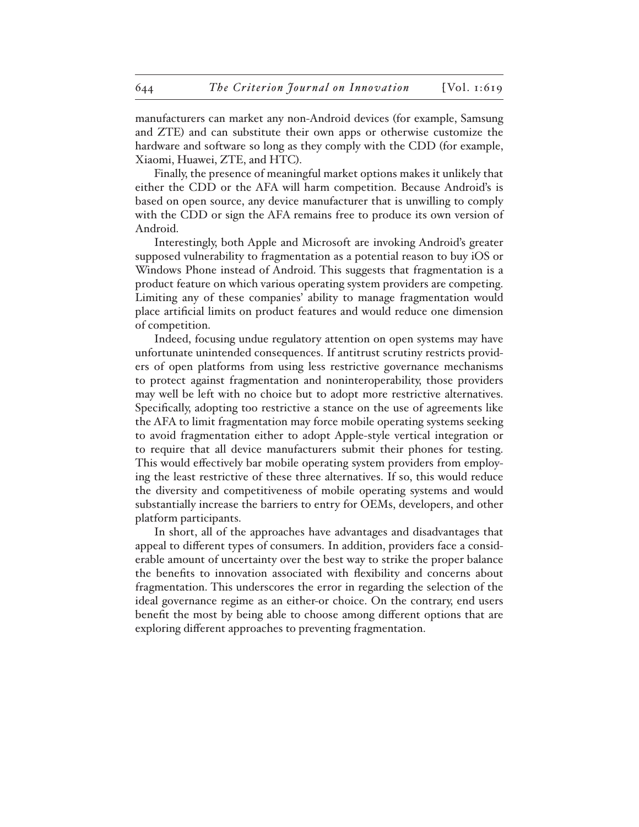manufacturers can market any non-Android devices (for example, Samsung and ZTE) and can substitute their own apps or otherwise customize the hardware and software so long as they comply with the CDD (for example, Xiaomi, Huawei, ZTE, and HTC).

Finally, the presence of meaningful market options makes it unlikely that either the CDD or the AFA will harm competition. Because Android's is based on open source, any device manufacturer that is unwilling to comply with the CDD or sign the AFA remains free to produce its own version of Android.

Interestingly, both Apple and Microsoft are invoking Android's greater supposed vulnerability to fragmentation as a potential reason to buy iOS or Windows Phone instead of Android. This suggests that fragmentation is a product feature on which various operating system providers are competing. Limiting any of these companies' ability to manage fragmentation would place artificial limits on product features and would reduce one dimension of competition.

Indeed, focusing undue regulatory attention on open systems may have unfortunate unintended consequences. If antitrust scrutiny restricts providers of open platforms from using less restrictive governance mechanisms to protect against fragmentation and noninteroperability, those providers may well be left with no choice but to adopt more restrictive alternatives. Specifically, adopting too restrictive a stance on the use of agreements like the AFA to limit fragmentation may force mobile operating systems seeking to avoid fragmentation either to adopt Apple-style vertical integration or to require that all device manufacturers submit their phones for testing. This would effectively bar mobile operating system providers from employing the least restrictive of these three alternatives. If so, this would reduce the diversity and competitiveness of mobile operating systems and would substantially increase the barriers to entry for OEMs, developers, and other platform participants.

In short, all of the approaches have advantages and disadvantages that appeal to different types of consumers. In addition, providers face a considerable amount of uncertainty over the best way to strike the proper balance the benefits to innovation associated with flexibility and concerns about fragmentation. This underscores the error in regarding the selection of the ideal governance regime as an either-or choice. On the contrary, end users benefit the most by being able to choose among different options that are exploring different approaches to preventing fragmentation.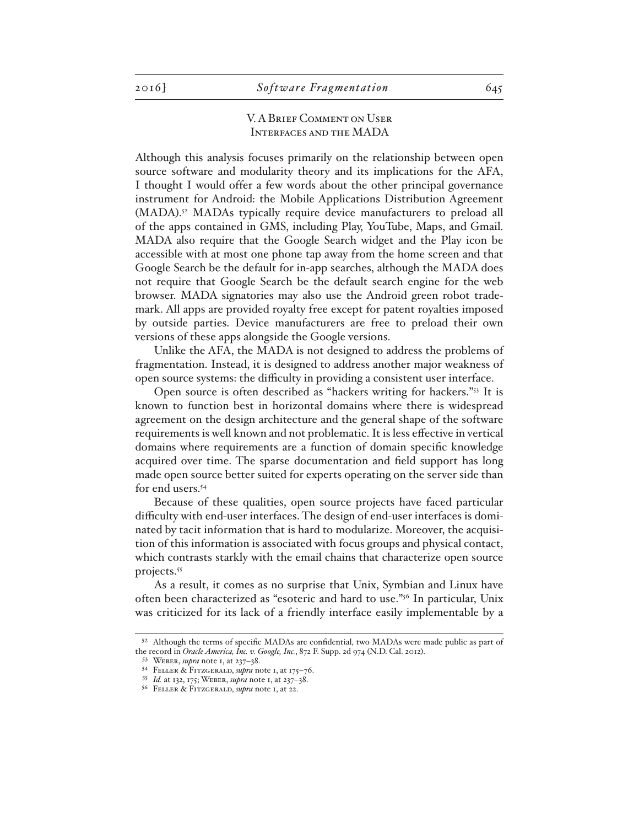## V. A Brief Comment on User Interfaces and the MADA

Although this analysis focuses primarily on the relationship between open source software and modularity theory and its implications for the AFA, I thought I would offer a few words about the other principal governance instrument for Android: the Mobile Applications Distribution Agreement (MADA).52 MADAs typically require device manufacturers to preload all of the apps contained in GMS, including Play, YouTube, Maps, and Gmail. MADA also require that the Google Search widget and the Play icon be accessible with at most one phone tap away from the home screen and that Google Search be the default for in-app searches, although the MADA does not require that Google Search be the default search engine for the web browser. MADA signatories may also use the Android green robot trademark. All apps are provided royalty free except for patent royalties imposed by outside parties. Device manufacturers are free to preload their own versions of these apps alongside the Google versions.

Unlike the AFA, the MADA is not designed to address the problems of fragmentation. Instead, it is designed to address another major weakness of open source systems: the difficulty in providing a consistent user interface.

Open source is often described as "hackers writing for hackers."53 It is known to function best in horizontal domains where there is widespread agreement on the design architecture and the general shape of the software requirements is well known and not problematic. It is less effective in vertical domains where requirements are a function of domain specific knowledge acquired over time. The sparse documentation and field support has long made open source better suited for experts operating on the server side than for end users.<sup>54</sup>

Because of these qualities, open source projects have faced particular difficulty with end-user interfaces. The design of end-user interfaces is dominated by tacit information that is hard to modularize. Moreover, the acquisition of this information is associated with focus groups and physical contact, which contrasts starkly with the email chains that characterize open source projects.55

As a result, it comes as no surprise that Unix, Symbian and Linux have often been characterized as "esoteric and hard to use."56 In particular, Unix was criticized for its lack of a friendly interface easily implementable by a

<sup>52</sup> Although the terms of specific MADAs are confidential, two MADAs were made public as part of the record in *Oracle America, Inc. v. Google, Inc.*, 872 F. Supp. 2d 974 (N.D. Cal. 2012).

<sup>53</sup> Weber, *supra* note 1, at 237–38.

<sup>54</sup> Feller & Fitzgerald, *supra* note 1, at 175–76.

<sup>55</sup> *Id.* at 132, 175; Weber, *supra* note 1, at 237–38.

<sup>56</sup> Feller & Fitzgerald, *supra* note 1, at 22.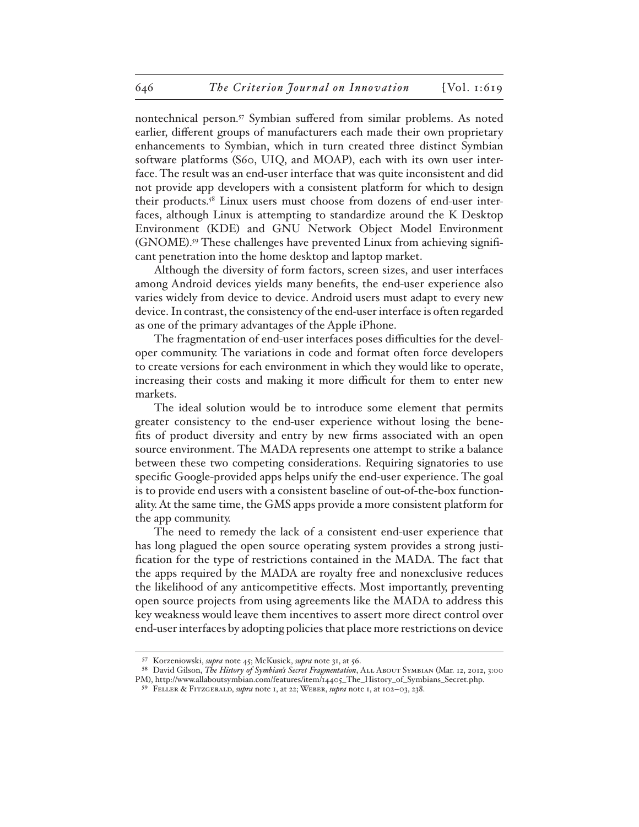nontechnical person.57 Symbian suffered from similar problems. As noted earlier, different groups of manufacturers each made their own proprietary enhancements to Symbian, which in turn created three distinct Symbian software platforms (S60, UIQ, and MOAP), each with its own user interface. The result was an end-user interface that was quite inconsistent and did not provide app developers with a consistent platform for which to design their products.58 Linux users must choose from dozens of end-user interfaces, although Linux is attempting to standardize around the K Desktop Environment (KDE) and GNU Network Object Model Environment (GNOME).59 These challenges have prevented Linux from achieving significant penetration into the home desktop and laptop market.

Although the diversity of form factors, screen sizes, and user interfaces among Android devices yields many benefits, the end-user experience also varies widely from device to device. Android users must adapt to every new device. In contrast, the consistency of the end-user interface is often regarded as one of the primary advantages of the Apple iPhone.

The fragmentation of end-user interfaces poses difficulties for the developer community. The variations in code and format often force developers to create versions for each environment in which they would like to operate, increasing their costs and making it more difficult for them to enter new markets.

The ideal solution would be to introduce some element that permits greater consistency to the end-user experience without losing the benefits of product diversity and entry by new firms associated with an open source environment. The MADA represents one attempt to strike a balance between these two competing considerations. Requiring signatories to use specific Google-provided apps helps unify the end-user experience. The goal is to provide end users with a consistent baseline of out-of-the-box functionality. At the same time, the GMS apps provide a more consistent platform for the app community.

The need to remedy the lack of a consistent end-user experience that has long plagued the open source operating system provides a strong justification for the type of restrictions contained in the MADA. The fact that the apps required by the MADA are royalty free and nonexclusive reduces the likelihood of any anticompetitive effects. Most importantly, preventing open source projects from using agreements like the MADA to address this key weakness would leave them incentives to assert more direct control over end-user interfaces by adopting policies that place more restrictions on device

<sup>57</sup> Korzeniowski, *supra* note 45; McKusick, *supra* note 31, at 56.

<sup>58</sup> David Gilson, *The History of Symbian's Secret Fragmentation*, ALL ABOUT SYMBIAN (Mar. 12, 2012, 3:00 PM), http://www.allaboutsymbian.com/features/item/14405\_The\_History\_of\_Symbians\_Secret.php.

<sup>59</sup> Feller & Fitzgerald, *supra* note 1, at 22; Weber, *supra* note 1, at 102–03, 238.